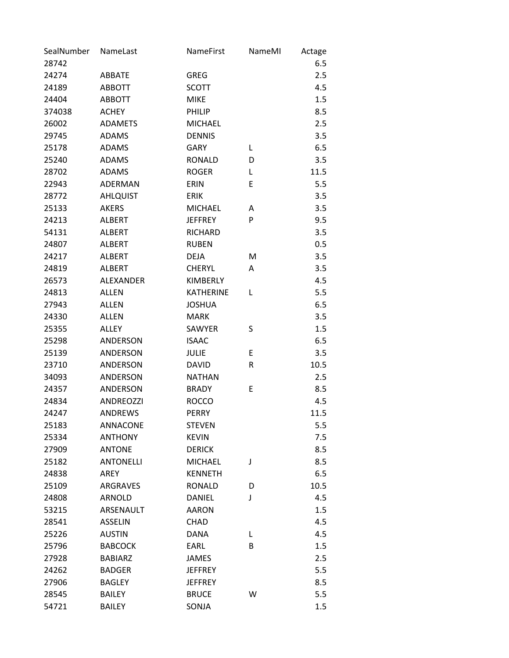| SealNumber | NameLast         | NameFirst        | NameMI | Actage |
|------------|------------------|------------------|--------|--------|
| 28742      |                  |                  |        | 6.5    |
| 24274      | ABBATE           | GREG             |        | 2.5    |
| 24189      | <b>ABBOTT</b>    | <b>SCOTT</b>     |        | 4.5    |
| 24404      | <b>ABBOTT</b>    | <b>MIKE</b>      |        | 1.5    |
| 374038     | <b>ACHEY</b>     | PHILIP           |        | 8.5    |
| 26002      | <b>ADAMETS</b>   | <b>MICHAEL</b>   |        | 2.5    |
| 29745      | <b>ADAMS</b>     | <b>DENNIS</b>    |        | 3.5    |
| 25178      | <b>ADAMS</b>     | <b>GARY</b>      | L      | 6.5    |
| 25240      | <b>ADAMS</b>     | <b>RONALD</b>    | D      | 3.5    |
| 28702      | <b>ADAMS</b>     | <b>ROGER</b>     | L      | 11.5   |
| 22943      | ADERMAN          | ERIN             | E      | 5.5    |
| 28772      | <b>AHLQUIST</b>  | <b>ERIK</b>      |        | 3.5    |
| 25133      | <b>AKERS</b>     | <b>MICHAEL</b>   | A      | 3.5    |
| 24213      | <b>ALBERT</b>    | <b>JEFFREY</b>   | P      | 9.5    |
| 54131      | <b>ALBERT</b>    | <b>RICHARD</b>   |        | 3.5    |
| 24807      | <b>ALBERT</b>    | <b>RUBEN</b>     |        | 0.5    |
| 24217      | <b>ALBERT</b>    | <b>DEJA</b>      | M      | 3.5    |
| 24819      | <b>ALBERT</b>    | <b>CHERYL</b>    | A      | 3.5    |
| 26573      | <b>ALEXANDER</b> | <b>KIMBERLY</b>  |        | 4.5    |
| 24813      | <b>ALLEN</b>     | <b>KATHERINE</b> | L      | 5.5    |
| 27943      | <b>ALLEN</b>     | <b>JOSHUA</b>    |        | 6.5    |
| 24330      | <b>ALLEN</b>     | <b>MARK</b>      |        | 3.5    |
| 25355      | <b>ALLEY</b>     | <b>SAWYER</b>    | S      | 1.5    |
| 25298      | ANDERSON         | <b>ISAAC</b>     |        | 6.5    |
| 25139      | ANDERSON         | <b>JULIE</b>     | E      | 3.5    |
| 23710      | <b>ANDERSON</b>  | <b>DAVID</b>     | R      | 10.5   |
| 34093      | <b>ANDERSON</b>  | <b>NATHAN</b>    |        | 2.5    |
| 24357      | ANDERSON         | <b>BRADY</b>     | E      | 8.5    |
| 24834      | <b>ANDREOZZI</b> | <b>ROCCO</b>     |        | 4.5    |
| 24247      | <b>ANDREWS</b>   | <b>PERRY</b>     |        | 11.5   |
| 25183      | ANNACONE         | <b>STEVEN</b>    |        | 5.5    |
| 25334      | <b>ANTHONY</b>   | <b>KEVIN</b>     |        | 7.5    |
| 27909      | <b>ANTONE</b>    | <b>DERICK</b>    |        | 8.5    |
| 25182      | <b>ANTONELLI</b> | <b>MICHAEL</b>   | J      | 8.5    |
| 24838      | <b>AREY</b>      | <b>KENNETH</b>   |        | 6.5    |
| 25109      | ARGRAVES         | <b>RONALD</b>    | D      | 10.5   |
| 24808      | ARNOLD           | <b>DANIEL</b>    | J      | 4.5    |
| 53215      | ARSENAULT        | <b>AARON</b>     |        | 1.5    |
| 28541      | <b>ASSELIN</b>   | <b>CHAD</b>      |        | 4.5    |
| 25226      | <b>AUSTIN</b>    | <b>DANA</b>      | L      | 4.5    |
| 25796      | <b>BABCOCK</b>   | EARL             | B      | 1.5    |
| 27928      | <b>BABIARZ</b>   | <b>JAMES</b>     |        | 2.5    |
| 24262      | <b>BADGER</b>    | <b>JEFFREY</b>   |        | 5.5    |
| 27906      | <b>BAGLEY</b>    | <b>JEFFREY</b>   |        | 8.5    |
| 28545      | <b>BAILEY</b>    | <b>BRUCE</b>     | W      | 5.5    |
| 54721      | <b>BAILEY</b>    | SONJA            |        | 1.5    |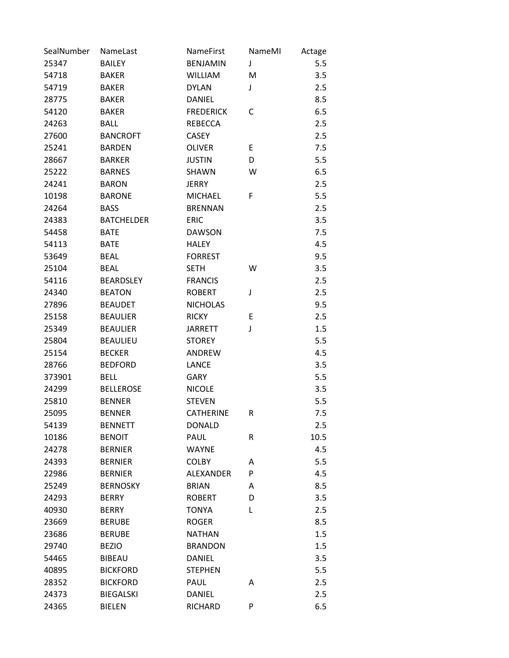| SealNumber | NameLast          | <b>NameFirst</b> | NameMI | Actage |
|------------|-------------------|------------------|--------|--------|
| 25347      | <b>BAILEY</b>     | <b>BENJAMIN</b>  | J      | 5.5    |
| 54718      | <b>BAKER</b>      | <b>WILLIAM</b>   | M      | 3.5    |
| 54719      | <b>BAKER</b>      | <b>DYLAN</b>     | J      | 2.5    |
| 28775      | <b>BAKER</b>      | <b>DANIEL</b>    |        | 8.5    |
| 54120      | <b>BAKER</b>      | <b>FREDERICK</b> | C      | 6.5    |
| 24263      | <b>BALL</b>       | <b>REBECCA</b>   |        | 2.5    |
| 27600      | <b>BANCROFT</b>   | <b>CASEY</b>     |        | 2.5    |
| 25241      | <b>BARDEN</b>     | <b>OLIVER</b>    | E      | 7.5    |
| 28667      | <b>BARKER</b>     | <b>JUSTIN</b>    | D      | 5.5    |
| 25222      | <b>BARNES</b>     | <b>SHAWN</b>     | W      | 6.5    |
| 24241      | <b>BARON</b>      | <b>JERRY</b>     |        | 2.5    |
| 10198      | <b>BARONE</b>     | <b>MICHAEL</b>   | F      | 5.5    |
| 24264      | <b>BASS</b>       | <b>BRENNAN</b>   |        | 2.5    |
| 24383      | <b>BATCHELDER</b> | <b>ERIC</b>      |        | 3.5    |
| 54458      | <b>BATE</b>       | <b>DAWSON</b>    |        | 7.5    |
| 54113      | <b>BATE</b>       | <b>HALEY</b>     |        | 4.5    |
| 53649      | <b>BEAL</b>       | <b>FORREST</b>   |        | 9.5    |
| 25104      | <b>BEAL</b>       | <b>SETH</b>      | W      | 3.5    |
| 54116      | <b>BEARDSLEY</b>  | <b>FRANCIS</b>   |        | 2.5    |
| 24340      | <b>BEATON</b>     | <b>ROBERT</b>    | J      | 2.5    |
| 27896      | <b>BEAUDET</b>    | <b>NICHOLAS</b>  |        | 9.5    |
| 25158      | <b>BEAULIER</b>   | <b>RICKY</b>     | E      | 2.5    |
| 25349      | <b>BEAULIER</b>   | <b>JARRETT</b>   | J      | 1.5    |
| 25804      | <b>BEAULIEU</b>   | <b>STOREY</b>    |        | 5.5    |
| 25154      | <b>BECKER</b>     | ANDREW           |        | 4.5    |
| 28766      | <b>BEDFORD</b>    | <b>LANCE</b>     |        | 3.5    |
| 373901     | <b>BELL</b>       | <b>GARY</b>      |        | 5.5    |
| 24299      | <b>BELLEROSE</b>  | <b>NICOLE</b>    |        | 3.5    |
| 25810      | <b>BENNER</b>     | <b>STEVEN</b>    |        | 5.5    |
| 25095      | <b>BENNER</b>     | <b>CATHERINE</b> | R      | 7.5    |
| 54139      | <b>BENNETT</b>    | <b>DONALD</b>    |        | 2.5    |
| 10186      | <b>BENOIT</b>     | PAUL             | R      | 10.5   |
| 24278      | <b>BERNIER</b>    | WAYNE            |        | 4.5    |
| 24393      | <b>BERNIER</b>    | <b>COLBY</b>     | A      | 5.5    |
| 22986      | <b>BERNIER</b>    | <b>ALEXANDER</b> | P      | 4.5    |
| 25249      | <b>BERNOSKY</b>   | <b>BRIAN</b>     | A      | 8.5    |
| 24293      | <b>BERRY</b>      | <b>ROBERT</b>    | D      | 3.5    |
| 40930      | <b>BERRY</b>      | <b>TONYA</b>     | L      | 2.5    |
| 23669      | <b>BERUBE</b>     | <b>ROGER</b>     |        | 8.5    |
| 23686      | <b>BERUBE</b>     | <b>NATHAN</b>    |        | 1.5    |
| 29740      | <b>BEZIO</b>      | <b>BRANDON</b>   |        | 1.5    |
| 54465      | <b>BIBEAU</b>     | <b>DANIEL</b>    |        | 3.5    |
| 40895      | <b>BICKFORD</b>   | <b>STEPHEN</b>   |        | 5.5    |
| 28352      | <b>BICKFORD</b>   | PAUL             | Α      | 2.5    |
| 24373      | <b>BIEGALSKI</b>  | <b>DANIEL</b>    |        | 2.5    |
| 24365      | <b>BIELEN</b>     | RICHARD          | P      | 6.5    |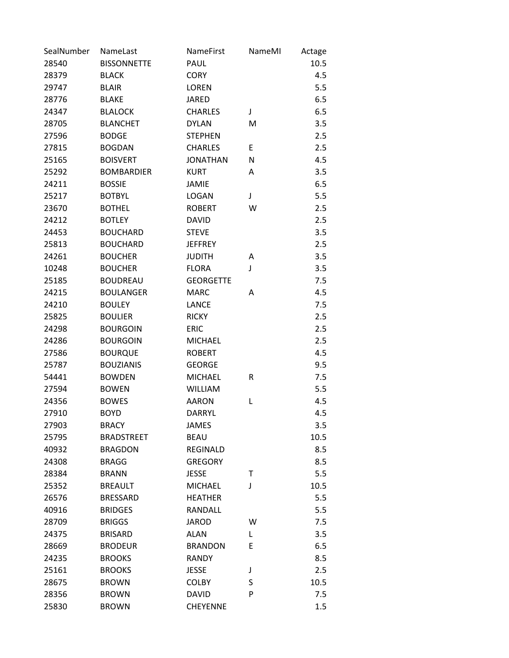| SealNumber | NameLast           | <b>NameFirst</b> | NameMI | Actage |
|------------|--------------------|------------------|--------|--------|
| 28540      | <b>BISSONNETTE</b> | PAUL             |        | 10.5   |
| 28379      | <b>BLACK</b>       | <b>CORY</b>      |        | 4.5    |
| 29747      | <b>BLAIR</b>       | <b>LOREN</b>     |        | 5.5    |
| 28776      | <b>BLAKE</b>       | <b>JARED</b>     |        | 6.5    |
| 24347      | <b>BLALOCK</b>     | <b>CHARLES</b>   | J      | 6.5    |
| 28705      | <b>BLANCHET</b>    | <b>DYLAN</b>     | M      | 3.5    |
| 27596      | <b>BODGE</b>       | <b>STEPHEN</b>   |        | 2.5    |
| 27815      | <b>BOGDAN</b>      | <b>CHARLES</b>   | E      | 2.5    |
| 25165      | <b>BOISVERT</b>    | <b>JONATHAN</b>  | N      | 4.5    |
| 25292      | <b>BOMBARDIER</b>  | <b>KURT</b>      | Α      | 3.5    |
| 24211      | <b>BOSSIE</b>      | <b>JAMIE</b>     |        | 6.5    |
| 25217      | <b>BOTBYL</b>      | <b>LOGAN</b>     | J      | 5.5    |
| 23670      | <b>BOTHEL</b>      | <b>ROBERT</b>    | W      | 2.5    |
| 24212      | <b>BOTLEY</b>      | <b>DAVID</b>     |        | 2.5    |
| 24453      | <b>BOUCHARD</b>    | <b>STEVE</b>     |        | 3.5    |
| 25813      | <b>BOUCHARD</b>    | <b>JEFFREY</b>   |        | 2.5    |
| 24261      | <b>BOUCHER</b>     | <b>JUDITH</b>    | Α      | 3.5    |
| 10248      | <b>BOUCHER</b>     | <b>FLORA</b>     | J      | 3.5    |
| 25185      | <b>BOUDREAU</b>    | <b>GEORGETTE</b> |        | 7.5    |
| 24215      | <b>BOULANGER</b>   | <b>MARC</b>      | Α      | 4.5    |
| 24210      | <b>BOULEY</b>      | <b>LANCE</b>     |        | 7.5    |
| 25825      | <b>BOULIER</b>     | <b>RICKY</b>     |        | 2.5    |
| 24298      | <b>BOURGOIN</b>    | <b>ERIC</b>      |        | 2.5    |
| 24286      | <b>BOURGOIN</b>    | <b>MICHAEL</b>   |        | 2.5    |
| 27586      | <b>BOURQUE</b>     | <b>ROBERT</b>    |        | 4.5    |
| 25787      | <b>BOUZIANIS</b>   | <b>GEORGE</b>    |        | 9.5    |
| 54441      | <b>BOWDEN</b>      | <b>MICHAEL</b>   | R      | 7.5    |
| 27594      | <b>BOWEN</b>       | <b>WILLIAM</b>   |        | 5.5    |
| 24356      | <b>BOWES</b>       | <b>AARON</b>     | L      | 4.5    |
| 27910      | <b>BOYD</b>        | <b>DARRYL</b>    |        | 4.5    |
| 27903      | <b>BRACY</b>       | JAMES            |        | 3.5    |
| 25795      | <b>BRADSTREET</b>  | <b>BEAU</b>      |        | 10.5   |
| 40932      | <b>BRAGDON</b>     | REGINALD         |        | 8.5    |
| 24308      | <b>BRAGG</b>       | <b>GREGORY</b>   |        | 8.5    |
| 28384      | <b>BRANN</b>       | <b>JESSE</b>     | Т      | 5.5    |
| 25352      | <b>BREAULT</b>     | <b>MICHAEL</b>   | J      | 10.5   |
| 26576      | <b>BRESSARD</b>    | <b>HEATHER</b>   |        | 5.5    |
| 40916      | <b>BRIDGES</b>     | RANDALL          |        | 5.5    |
| 28709      | <b>BRIGGS</b>      | <b>JAROD</b>     | W      | 7.5    |
| 24375      | <b>BRISARD</b>     | ALAN             | L      | 3.5    |
| 28669      | <b>BRODEUR</b>     | <b>BRANDON</b>   | E      | 6.5    |
| 24235      | <b>BROOKS</b>      | <b>RANDY</b>     |        | 8.5    |
| 25161      | <b>BROOKS</b>      | <b>JESSE</b>     | J      | 2.5    |
| 28675      | <b>BROWN</b>       | <b>COLBY</b>     | S      | 10.5   |
| 28356      | <b>BROWN</b>       | <b>DAVID</b>     | P      | 7.5    |
| 25830      | <b>BROWN</b>       | <b>CHEYENNE</b>  |        | 1.5    |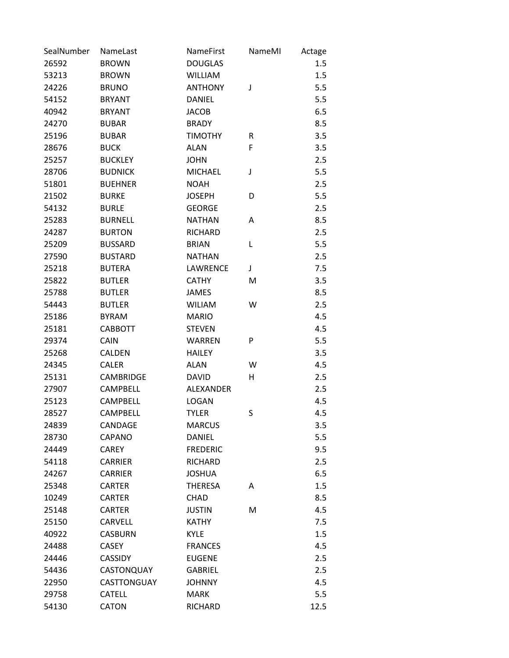| SealNumber | NameLast         | NameFirst        | NameMI | Actage |
|------------|------------------|------------------|--------|--------|
| 26592      | <b>BROWN</b>     | <b>DOUGLAS</b>   |        | 1.5    |
| 53213      | <b>BROWN</b>     | <b>WILLIAM</b>   |        | 1.5    |
| 24226      | <b>BRUNO</b>     | <b>ANTHONY</b>   | J      | 5.5    |
| 54152      | <b>BRYANT</b>    | <b>DANIEL</b>    |        | 5.5    |
| 40942      | <b>BRYANT</b>    | <b>JACOB</b>     |        | 6.5    |
| 24270      | <b>BUBAR</b>     | <b>BRADY</b>     |        | 8.5    |
| 25196      | <b>BUBAR</b>     | <b>TIMOTHY</b>   | R      | 3.5    |
| 28676      | <b>BUCK</b>      | <b>ALAN</b>      | F      | 3.5    |
| 25257      | <b>BUCKLEY</b>   | <b>JOHN</b>      |        | 2.5    |
| 28706      | <b>BUDNICK</b>   | <b>MICHAEL</b>   | J      | 5.5    |
| 51801      | <b>BUEHNER</b>   | <b>NOAH</b>      |        | 2.5    |
| 21502      | <b>BURKE</b>     | <b>JOSEPH</b>    | D      | 5.5    |
| 54132      | <b>BURLE</b>     | <b>GEORGE</b>    |        | 2.5    |
| 25283      | <b>BURNELL</b>   | <b>NATHAN</b>    | A      | 8.5    |
| 24287      | <b>BURTON</b>    | <b>RICHARD</b>   |        | 2.5    |
| 25209      | <b>BUSSARD</b>   | <b>BRIAN</b>     | L      | 5.5    |
| 27590      | <b>BUSTARD</b>   | <b>NATHAN</b>    |        | 2.5    |
| 25218      | <b>BUTERA</b>    | LAWRENCE         | J      | 7.5    |
| 25822      | <b>BUTLER</b>    | <b>CATHY</b>     | M      | 3.5    |
| 25788      | <b>BUTLER</b>    | <b>JAMES</b>     |        | 8.5    |
| 54443      | <b>BUTLER</b>    | <b>WILIAM</b>    | W      | 2.5    |
| 25186      | <b>BYRAM</b>     | <b>MARIO</b>     |        | 4.5    |
| 25181      | <b>CABBOTT</b>   | <b>STEVEN</b>    |        | 4.5    |
| 29374      | <b>CAIN</b>      | <b>WARREN</b>    | P      | 5.5    |
| 25268      | <b>CALDEN</b>    | <b>HAILEY</b>    |        | 3.5    |
| 24345      | <b>CALER</b>     | <b>ALAN</b>      | W      | 4.5    |
| 25131      | <b>CAMBRIDGE</b> | <b>DAVID</b>     | н      | 2.5    |
| 27907      | <b>CAMPBELL</b>  | <b>ALEXANDER</b> |        | 2.5    |
| 25123      | <b>CAMPBELL</b>  | <b>LOGAN</b>     |        | 4.5    |
| 28527      | <b>CAMPBELL</b>  | <b>TYLER</b>     | S      | 4.5    |
| 24839      | CANDAGE          | <b>MARCUS</b>    |        | 3.5    |
| 28730      | <b>CAPANO</b>    | <b>DANIEL</b>    |        | 5.5    |
| 24449      | <b>CAREY</b>     | <b>FREDERIC</b>  |        | 9.5    |
| 54118      | <b>CARRIER</b>   | RICHARD          |        | 2.5    |
| 24267      | <b>CARRIER</b>   | <b>JOSHUA</b>    |        | 6.5    |
| 25348      | <b>CARTER</b>    | <b>THERESA</b>   | A      | 1.5    |
| 10249      | <b>CARTER</b>    | <b>CHAD</b>      |        | 8.5    |
| 25148      | <b>CARTER</b>    | <b>JUSTIN</b>    | M      | 4.5    |
| 25150      | CARVELL          | <b>KATHY</b>     |        | 7.5    |
| 40922      | <b>CASBURN</b>   | <b>KYLE</b>      |        | 1.5    |
| 24488      | <b>CASEY</b>     | <b>FRANCES</b>   |        | 4.5    |
| 24446      | <b>CASSIDY</b>   | <b>EUGENE</b>    |        | 2.5    |
| 54436      | CASTONQUAY       | <b>GABRIEL</b>   |        | 2.5    |
| 22950      | CASTTONGUAY      | <b>JOHNNY</b>    |        | 4.5    |
| 29758      | <b>CATELL</b>    | <b>MARK</b>      |        | 5.5    |
| 54130      | <b>CATON</b>     | RICHARD          |        | 12.5   |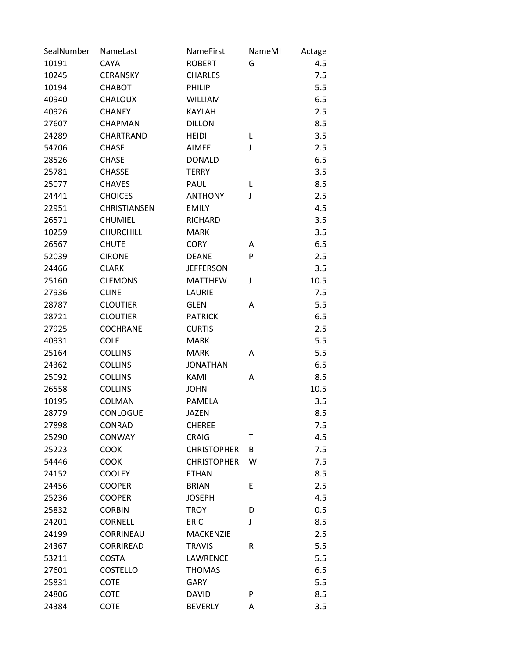| SealNumber | NameLast            | <b>NameFirst</b>   | NameMI | Actage |
|------------|---------------------|--------------------|--------|--------|
| 10191      | <b>CAYA</b>         | <b>ROBERT</b>      | G      | 4.5    |
| 10245      | <b>CERANSKY</b>     | <b>CHARLES</b>     |        | 7.5    |
| 10194      | CHABOT              | PHILIP             |        | 5.5    |
| 40940      | <b>CHALOUX</b>      | <b>WILLIAM</b>     |        | 6.5    |
| 40926      | <b>CHANEY</b>       | <b>KAYLAH</b>      |        | 2.5    |
| 27607      | <b>CHAPMAN</b>      | <b>DILLON</b>      |        | 8.5    |
| 24289      | <b>CHARTRAND</b>    | HEIDI              | L      | 3.5    |
| 54706      | <b>CHASE</b>        | <b>AIMEE</b>       | J      | 2.5    |
| 28526      | <b>CHASE</b>        | <b>DONALD</b>      |        | 6.5    |
| 25781      | <b>CHASSE</b>       | <b>TERRY</b>       |        | 3.5    |
| 25077      | <b>CHAVES</b>       | PAUL               | L      | 8.5    |
| 24441      | <b>CHOICES</b>      | <b>ANTHONY</b>     | J      | 2.5    |
| 22951      | <b>CHRISTIANSEN</b> | <b>EMILY</b>       |        | 4.5    |
| 26571      | <b>CHUMIEL</b>      | <b>RICHARD</b>     |        | 3.5    |
| 10259      | <b>CHURCHILL</b>    | <b>MARK</b>        |        | 3.5    |
| 26567      | <b>CHUTE</b>        | <b>CORY</b>        | A      | 6.5    |
| 52039      | <b>CIRONE</b>       | <b>DEANE</b>       | P      | 2.5    |
| 24466      | <b>CLARK</b>        | <b>JEFFERSON</b>   |        | 3.5    |
| 25160      | <b>CLEMONS</b>      | <b>MATTHEW</b>     | J      | 10.5   |
| 27936      | <b>CLINE</b>        | LAURIE             |        | 7.5    |
| 28787      | <b>CLOUTIER</b>     | <b>GLEN</b>        | A      | 5.5    |
| 28721      | <b>CLOUTIER</b>     | <b>PATRICK</b>     |        | 6.5    |
| 27925      | <b>COCHRANE</b>     | <b>CURTIS</b>      |        | 2.5    |
| 40931      | <b>COLE</b>         | <b>MARK</b>        |        | 5.5    |
| 25164      | <b>COLLINS</b>      | <b>MARK</b>        | Α      | 5.5    |
| 24362      | <b>COLLINS</b>      | <b>JONATHAN</b>    |        | 6.5    |
| 25092      | <b>COLLINS</b>      | KAMI               | Α      | 8.5    |
| 26558      | <b>COLLINS</b>      | <b>JOHN</b>        |        | 10.5   |
| 10195      | <b>COLMAN</b>       | <b>PAMELA</b>      |        | 3.5    |
| 28779      | <b>CONLOGUE</b>     | <b>JAZEN</b>       |        | 8.5    |
| 27898      | CONRAD              | <b>CHEREE</b>      |        | 7.5    |
| 25290      | <b>CONWAY</b>       | <b>CRAIG</b>       | Т      | 4.5    |
| 25223      | <b>COOK</b>         | <b>CHRISTOPHER</b> | B      | 7.5    |
| 54446      | <b>COOK</b>         | <b>CHRISTOPHER</b> | W      | 7.5    |
| 24152      | <b>COOLEY</b>       | <b>ETHAN</b>       |        | 8.5    |
| 24456      | <b>COOPER</b>       | <b>BRIAN</b>       | E      | 2.5    |
| 25236      | <b>COOPER</b>       | <b>JOSEPH</b>      |        | 4.5    |
| 25832      | <b>CORBIN</b>       | <b>TROY</b>        | D      | 0.5    |
| 24201      | <b>CORNELL</b>      | <b>ERIC</b>        | J      | 8.5    |
| 24199      | <b>CORRINEAU</b>    | <b>MACKENZIE</b>   |        | 2.5    |
| 24367      | <b>CORRIREAD</b>    | <b>TRAVIS</b>      | R      | 5.5    |
| 53211      | <b>COSTA</b>        | LAWRENCE           |        | 5.5    |
| 27601      | <b>COSTELLO</b>     | <b>THOMAS</b>      |        | 6.5    |
| 25831      | <b>COTE</b>         | <b>GARY</b>        |        | 5.5    |
| 24806      | <b>COTE</b>         | <b>DAVID</b>       | P      | 8.5    |
| 24384      | COTE                | <b>BEVERLY</b>     | Α      | 3.5    |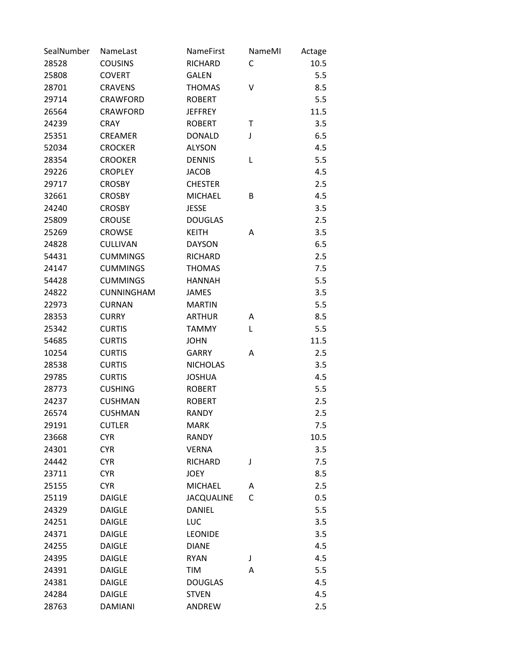| SealNumber | NameLast          | NameFirst         | NameMI | Actage |
|------------|-------------------|-------------------|--------|--------|
| 28528      | <b>COUSINS</b>    | <b>RICHARD</b>    | C      | 10.5   |
| 25808      | <b>COVERT</b>     | <b>GALEN</b>      |        | 5.5    |
| 28701      | <b>CRAVENS</b>    | <b>THOMAS</b>     | v      | 8.5    |
| 29714      | <b>CRAWFORD</b>   | <b>ROBERT</b>     |        | 5.5    |
| 26564      | <b>CRAWFORD</b>   | <b>JEFFREY</b>    |        | 11.5   |
| 24239      | <b>CRAY</b>       | <b>ROBERT</b>     | Τ      | 3.5    |
| 25351      | <b>CREAMER</b>    | <b>DONALD</b>     | J      | 6.5    |
| 52034      | <b>CROCKER</b>    | <b>ALYSON</b>     |        | 4.5    |
| 28354      | <b>CROOKER</b>    | <b>DENNIS</b>     | L      | 5.5    |
| 29226      | <b>CROPLEY</b>    | <b>JACOB</b>      |        | 4.5    |
| 29717      | <b>CROSBY</b>     | <b>CHESTER</b>    |        | 2.5    |
| 32661      | <b>CROSBY</b>     | <b>MICHAEL</b>    | B      | 4.5    |
| 24240      | <b>CROSBY</b>     | <b>JESSE</b>      |        | 3.5    |
| 25809      | <b>CROUSE</b>     | <b>DOUGLAS</b>    |        | 2.5    |
| 25269      | <b>CROWSE</b>     | <b>KEITH</b>      | Α      | 3.5    |
| 24828      | <b>CULLIVAN</b>   | <b>DAYSON</b>     |        | 6.5    |
| 54431      | <b>CUMMINGS</b>   | <b>RICHARD</b>    |        | 2.5    |
| 24147      | <b>CUMMINGS</b>   | <b>THOMAS</b>     |        | 7.5    |
| 54428      | <b>CUMMINGS</b>   | <b>HANNAH</b>     |        | 5.5    |
| 24822      | <b>CUNNINGHAM</b> | <b>JAMES</b>      |        | 3.5    |
| 22973      | <b>CURNAN</b>     | <b>MARTIN</b>     |        | 5.5    |
| 28353      | <b>CURRY</b>      | <b>ARTHUR</b>     | Α      | 8.5    |
| 25342      | <b>CURTIS</b>     | <b>TAMMY</b>      | L      | 5.5    |
| 54685      | <b>CURTIS</b>     | <b>JOHN</b>       |        | 11.5   |
| 10254      | <b>CURTIS</b>     | <b>GARRY</b>      | Α      | 2.5    |
| 28538      | <b>CURTIS</b>     | <b>NICHOLAS</b>   |        | 3.5    |
| 29785      | <b>CURTIS</b>     | <b>JOSHUA</b>     |        | 4.5    |
| 28773      | <b>CUSHING</b>    | <b>ROBERT</b>     |        | 5.5    |
| 24237      | <b>CUSHMAN</b>    | <b>ROBERT</b>     |        | 2.5    |
| 26574      | <b>CUSHMAN</b>    | <b>RANDY</b>      |        | 2.5    |
| 29191      | <b>CUTLER</b>     | <b>MARK</b>       |        | 7.5    |
| 23668      | <b>CYR</b>        | <b>RANDY</b>      |        | 10.5   |
| 24301      | <b>CYR</b>        | <b>VERNA</b>      |        | 3.5    |
| 24442      | <b>CYR</b>        | <b>RICHARD</b>    | J      | 7.5    |
| 23711      | <b>CYR</b>        | <b>JOEY</b>       |        | 8.5    |
| 25155      | <b>CYR</b>        | <b>MICHAEL</b>    | Α      | 2.5    |
| 25119      | <b>DAIGLE</b>     | <b>JACQUALINE</b> | C      | 0.5    |
| 24329      | <b>DAIGLE</b>     | <b>DANIEL</b>     |        | 5.5    |
| 24251      | <b>DAIGLE</b>     | LUC               |        | 3.5    |
| 24371      | <b>DAIGLE</b>     | <b>LEONIDE</b>    |        | 3.5    |
| 24255      | <b>DAIGLE</b>     | <b>DIANE</b>      |        | 4.5    |
| 24395      | <b>DAIGLE</b>     | <b>RYAN</b>       | J      | 4.5    |
| 24391      | <b>DAIGLE</b>     | <b>TIM</b>        | Α      | 5.5    |
| 24381      | <b>DAIGLE</b>     | <b>DOUGLAS</b>    |        | 4.5    |
| 24284      | <b>DAIGLE</b>     | <b>STVEN</b>      |        | 4.5    |
| 28763      | <b>DAMIANI</b>    | ANDREW            |        | 2.5    |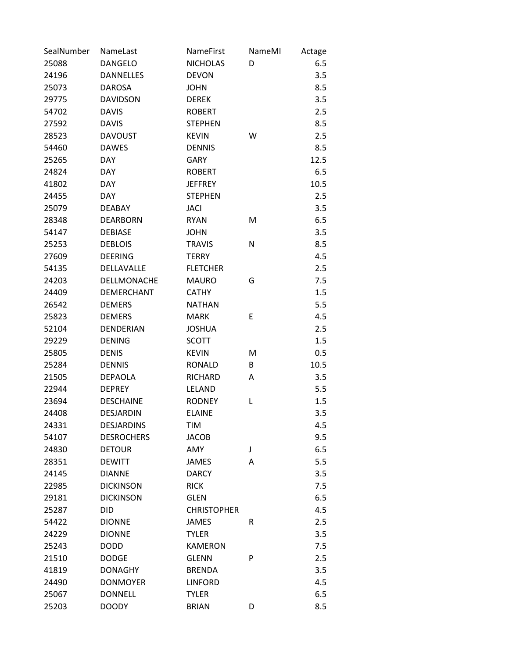| SealNumber | NameLast          | NameFirst          | NameMI | Actage |
|------------|-------------------|--------------------|--------|--------|
| 25088      | <b>DANGELO</b>    | <b>NICHOLAS</b>    | D      | 6.5    |
| 24196      | <b>DANNELLES</b>  | <b>DEVON</b>       |        | 3.5    |
| 25073      | <b>DAROSA</b>     | <b>JOHN</b>        |        | 8.5    |
| 29775      | <b>DAVIDSON</b>   | <b>DEREK</b>       |        | 3.5    |
| 54702      | <b>DAVIS</b>      | <b>ROBERT</b>      |        | 2.5    |
| 27592      | <b>DAVIS</b>      | <b>STEPHEN</b>     |        | 8.5    |
| 28523      | <b>DAVOUST</b>    | <b>KEVIN</b>       | W      | 2.5    |
| 54460      | <b>DAWES</b>      | <b>DENNIS</b>      |        | 8.5    |
| 25265      | <b>DAY</b>        | <b>GARY</b>        |        | 12.5   |
| 24824      | <b>DAY</b>        | <b>ROBERT</b>      |        | 6.5    |
| 41802      | <b>DAY</b>        | <b>JEFFREY</b>     |        | 10.5   |
| 24455      | <b>DAY</b>        | <b>STEPHEN</b>     |        | 2.5    |
| 25079      | <b>DEABAY</b>     | <b>JACI</b>        |        | 3.5    |
| 28348      | <b>DEARBORN</b>   | <b>RYAN</b>        | M      | 6.5    |
| 54147      | <b>DEBIASE</b>    | <b>JOHN</b>        |        | 3.5    |
| 25253      | <b>DEBLOIS</b>    | <b>TRAVIS</b>      | N      | 8.5    |
| 27609      | <b>DEERING</b>    | <b>TERRY</b>       |        | 4.5    |
| 54135      | DELLAVALLE        | <b>FLETCHER</b>    |        | 2.5    |
| 24203      | DELLMONACHE       | <b>MAURO</b>       | G      | 7.5    |
| 24409      | <b>DEMERCHANT</b> | <b>CATHY</b>       |        | 1.5    |
| 26542      | <b>DEMERS</b>     | <b>NATHAN</b>      |        | 5.5    |
| 25823      | <b>DEMERS</b>     | <b>MARK</b>        | Ε      | 4.5    |
| 52104      | DENDERIAN         | <b>JOSHUA</b>      |        | 2.5    |
| 29229      | <b>DENING</b>     | <b>SCOTT</b>       |        | 1.5    |
| 25805      | <b>DENIS</b>      | <b>KEVIN</b>       | м      | 0.5    |
| 25284      | <b>DENNIS</b>     | <b>RONALD</b>      | B      | 10.5   |
| 21505      | <b>DEPAOLA</b>    | RICHARD            | Α      | 3.5    |
| 22944      | <b>DEPREY</b>     | <b>LELAND</b>      |        | 5.5    |
| 23694      | <b>DESCHAINE</b>  | <b>RODNEY</b>      | L      | 1.5    |
| 24408      | <b>DESJARDIN</b>  | <b>ELAINE</b>      |        | 3.5    |
| 24331      | <b>DESJARDINS</b> | <b>TIM</b>         |        | 4.5    |
| 54107      | <b>DESROCHERS</b> | <b>JACOB</b>       |        | 9.5    |
| 24830      | <b>DETOUR</b>     | AMY                | J      | 6.5    |
| 28351      | <b>DEWITT</b>     | <b>JAMES</b>       | Α      | 5.5    |
| 24145      | <b>DIANNE</b>     | <b>DARCY</b>       |        | 3.5    |
| 22985      | <b>DICKINSON</b>  | <b>RICK</b>        |        | 7.5    |
| 29181      | <b>DICKINSON</b>  | <b>GLEN</b>        |        | 6.5    |
| 25287      | DID               | <b>CHRISTOPHER</b> |        | 4.5    |
| 54422      | <b>DIONNE</b>     | <b>JAMES</b>       | R      | 2.5    |
| 24229      | <b>DIONNE</b>     | <b>TYLER</b>       |        | 3.5    |
| 25243      | <b>DODD</b>       | <b>KAMERON</b>     |        | 7.5    |
| 21510      | <b>DODGE</b>      | <b>GLENN</b>       | P      | 2.5    |
| 41819      | <b>DONAGHY</b>    | <b>BRENDA</b>      |        | 3.5    |
| 24490      | <b>DONMOYER</b>   | <b>LINFORD</b>     |        | 4.5    |
| 25067      | <b>DONNELL</b>    | <b>TYLER</b>       |        | 6.5    |
| 25203      | <b>DOODY</b>      | <b>BRIAN</b>       | D      | 8.5    |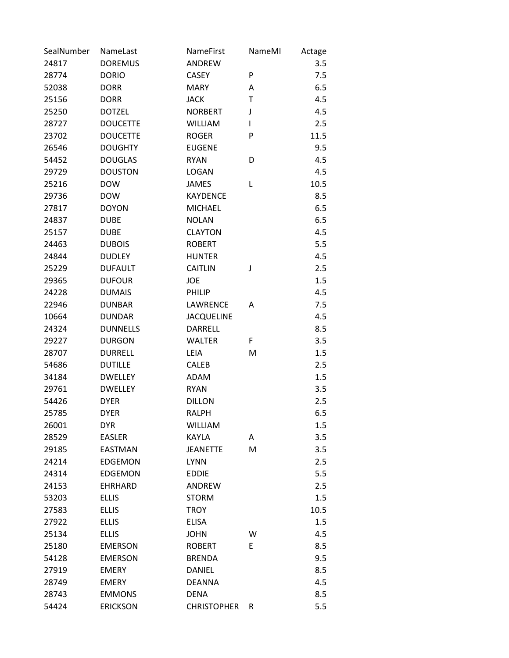| SealNumber | NameLast        | NameFirst          | NameMI | Actage |
|------------|-----------------|--------------------|--------|--------|
| 24817      | <b>DOREMUS</b>  | <b>ANDREW</b>      |        | 3.5    |
| 28774      | <b>DORIO</b>    | <b>CASEY</b>       | P      | 7.5    |
| 52038      | <b>DORR</b>     | <b>MARY</b>        | Α      | 6.5    |
| 25156      | <b>DORR</b>     | <b>JACK</b>        | T      | 4.5    |
| 25250      | <b>DOTZEL</b>   | <b>NORBERT</b>     | J      | 4.5    |
| 28727      | <b>DOUCETTE</b> | <b>WILLIAM</b>     | I      | 2.5    |
| 23702      | <b>DOUCETTE</b> | <b>ROGER</b>       | P      | 11.5   |
| 26546      | <b>DOUGHTY</b>  | <b>EUGENE</b>      |        | 9.5    |
| 54452      | <b>DOUGLAS</b>  | <b>RYAN</b>        | D      | 4.5    |
| 29729      | <b>DOUSTON</b>  | <b>LOGAN</b>       |        | 4.5    |
| 25216      | <b>DOW</b>      | JAMES              | L      | 10.5   |
| 29736      | <b>DOW</b>      | <b>KAYDENCE</b>    |        | 8.5    |
| 27817      | <b>DOYON</b>    | <b>MICHAEL</b>     |        | 6.5    |
| 24837      | <b>DUBE</b>     | <b>NOLAN</b>       |        | 6.5    |
| 25157      | <b>DUBE</b>     | <b>CLAYTON</b>     |        | 4.5    |
| 24463      | <b>DUBOIS</b>   | <b>ROBERT</b>      |        | 5.5    |
| 24844      | <b>DUDLEY</b>   | <b>HUNTER</b>      |        | 4.5    |
| 25229      | <b>DUFAULT</b>  | <b>CAITLIN</b>     | J      | 2.5    |
| 29365      | <b>DUFOUR</b>   | JOE                |        | 1.5    |
| 24228      | <b>DUMAIS</b>   | PHILIP             |        | 4.5    |
| 22946      | <b>DUNBAR</b>   | LAWRENCE           | A      | 7.5    |
| 10664      | <b>DUNDAR</b>   | <b>JACQUELINE</b>  |        | 4.5    |
| 24324      | <b>DUNNELLS</b> | DARRELL            |        | 8.5    |
| 29227      | <b>DURGON</b>   | <b>WALTER</b>      | F.     | 3.5    |
| 28707      | <b>DURRELL</b>  | LEIA               | M      | 1.5    |
| 54686      | <b>DUTILLE</b>  | <b>CALEB</b>       |        | 2.5    |
| 34184      | <b>DWELLEY</b>  | ADAM               |        | 1.5    |
| 29761      | <b>DWELLEY</b>  | <b>RYAN</b>        |        | 3.5    |
| 54426      | <b>DYER</b>     | <b>DILLON</b>      |        | 2.5    |
| 25785      | <b>DYER</b>     | <b>RALPH</b>       |        | 6.5    |
| 26001      | <b>DYR</b>      | <b>WILLIAM</b>     |        | 1.5    |
| 28529      | <b>EASLER</b>   | <b>KAYLA</b>       | Α      | 3.5    |
| 29185      | <b>EASTMAN</b>  | <b>JEANETTE</b>    | M      | 3.5    |
| 24214      | <b>EDGEMON</b>  | <b>LYNN</b>        |        | 2.5    |
| 24314      | <b>EDGEMON</b>  | <b>EDDIE</b>       |        | 5.5    |
| 24153      | <b>EHRHARD</b>  | ANDREW             |        | 2.5    |
| 53203      | <b>ELLIS</b>    | <b>STORM</b>       |        | 1.5    |
| 27583      | <b>ELLIS</b>    | <b>TROY</b>        |        | 10.5   |
| 27922      | <b>ELLIS</b>    | <b>ELISA</b>       |        | 1.5    |
| 25134      | <b>ELLIS</b>    | <b>JOHN</b>        | W      | 4.5    |
| 25180      | <b>EMERSON</b>  | <b>ROBERT</b>      | E      | 8.5    |
| 54128      | <b>EMERSON</b>  | <b>BRENDA</b>      |        | 9.5    |
| 27919      | <b>EMERY</b>    | <b>DANIEL</b>      |        | 8.5    |
| 28749      | <b>EMERY</b>    | <b>DEANNA</b>      |        | 4.5    |
| 28743      | <b>EMMONS</b>   | <b>DENA</b>        |        | 8.5    |
| 54424      | <b>ERICKSON</b> | <b>CHRISTOPHER</b> | R      | 5.5    |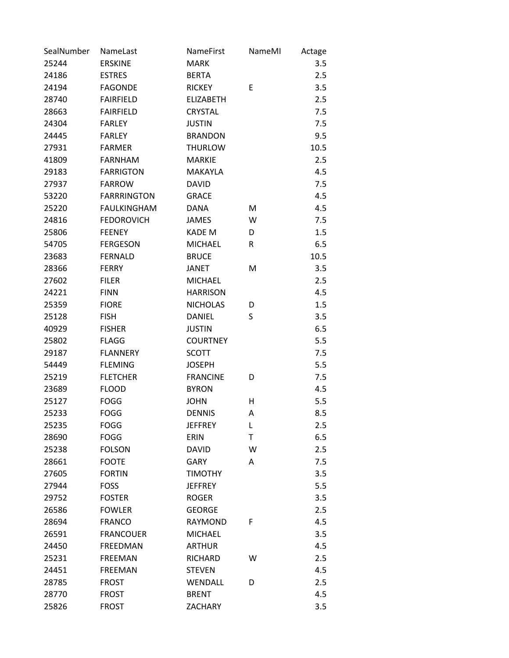| SealNumber | NameLast           | <b>NameFirst</b> | NameMI | Actage |
|------------|--------------------|------------------|--------|--------|
| 25244      | <b>ERSKINE</b>     | <b>MARK</b>      |        | 3.5    |
| 24186      | <b>ESTRES</b>      | <b>BERTA</b>     |        | 2.5    |
| 24194      | <b>FAGONDE</b>     | <b>RICKEY</b>    | Ε      | 3.5    |
| 28740      | <b>FAIRFIELD</b>   | <b>ELIZABETH</b> |        | 2.5    |
| 28663      | <b>FAIRFIELD</b>   | <b>CRYSTAL</b>   |        | 7.5    |
| 24304      | <b>FARLEY</b>      | <b>JUSTIN</b>    |        | 7.5    |
| 24445      | <b>FARLEY</b>      | <b>BRANDON</b>   |        | 9.5    |
| 27931      | <b>FARMER</b>      | <b>THURLOW</b>   |        | 10.5   |
| 41809      | <b>FARNHAM</b>     | <b>MARKIE</b>    |        | 2.5    |
| 29183      | <b>FARRIGTON</b>   | MAKAYLA          |        | 4.5    |
| 27937      | <b>FARROW</b>      | <b>DAVID</b>     |        | 7.5    |
| 53220      | <b>FARRRINGTON</b> | <b>GRACE</b>     |        | 4.5    |
| 25220      | <b>FAULKINGHAM</b> | <b>DANA</b>      | M      | 4.5    |
| 24816      | <b>FEDOROVICH</b>  | <b>JAMES</b>     | W      | 7.5    |
| 25806      | <b>FEENEY</b>      | <b>KADE M</b>    | D      | 1.5    |
| 54705      | <b>FERGESON</b>    | <b>MICHAEL</b>   | R      | 6.5    |
| 23683      | <b>FERNALD</b>     | <b>BRUCE</b>     |        | 10.5   |
| 28366      | <b>FERRY</b>       | <b>JANET</b>     | M      | 3.5    |
| 27602      | <b>FILER</b>       | <b>MICHAEL</b>   |        | 2.5    |
| 24221      | <b>FINN</b>        | <b>HARRISON</b>  |        | 4.5    |
| 25359      | <b>FIORE</b>       | <b>NICHOLAS</b>  | D      | 1.5    |
| 25128      | <b>FISH</b>        | <b>DANIEL</b>    | S      | 3.5    |
| 40929      | <b>FISHER</b>      | <b>JUSTIN</b>    |        | 6.5    |
| 25802      | <b>FLAGG</b>       | <b>COURTNEY</b>  |        | 5.5    |
| 29187      | <b>FLANNERY</b>    | <b>SCOTT</b>     |        | 7.5    |
| 54449      | <b>FLEMING</b>     | <b>JOSEPH</b>    |        | 5.5    |
| 25219      | <b>FLETCHER</b>    | <b>FRANCINE</b>  | D      | 7.5    |
| 23689      | <b>FLOOD</b>       | <b>BYRON</b>     |        | 4.5    |
| 25127      | <b>FOGG</b>        | <b>JOHN</b>      | н      | 5.5    |
| 25233      | <b>FOGG</b>        | <b>DENNIS</b>    | A      | 8.5    |
| 25235      | <b>FOGG</b>        | <b>JEFFREY</b>   | L      | 2.5    |
| 28690      | <b>FOGG</b>        | ERIN             | Т      | 6.5    |
| 25238      | <b>FOLSON</b>      | <b>DAVID</b>     | W      | 2.5    |
| 28661      | <b>FOOTE</b>       | <b>GARY</b>      | Α      | 7.5    |
| 27605      | <b>FORTIN</b>      | <b>TIMOTHY</b>   |        | 3.5    |
| 27944      | <b>FOSS</b>        | <b>JEFFREY</b>   |        | 5.5    |
| 29752      | <b>FOSTER</b>      | <b>ROGER</b>     |        | 3.5    |
| 26586      | <b>FOWLER</b>      | <b>GEORGE</b>    |        | 2.5    |
| 28694      | <b>FRANCO</b>      | <b>RAYMOND</b>   | F      | 4.5    |
| 26591      | <b>FRANCOUER</b>   | <b>MICHAEL</b>   |        | 3.5    |
| 24450      | <b>FREEDMAN</b>    | <b>ARTHUR</b>    |        | 4.5    |
| 25231      | <b>FREEMAN</b>     | RICHARD          | W      | 2.5    |
| 24451      | <b>FREEMAN</b>     | <b>STEVEN</b>    |        | 4.5    |
| 28785      | <b>FROST</b>       | WENDALL          | D      | 2.5    |
| 28770      | <b>FROST</b>       | <b>BRENT</b>     |        | 4.5    |
| 25826      | <b>FROST</b>       | <b>ZACHARY</b>   |        | 3.5    |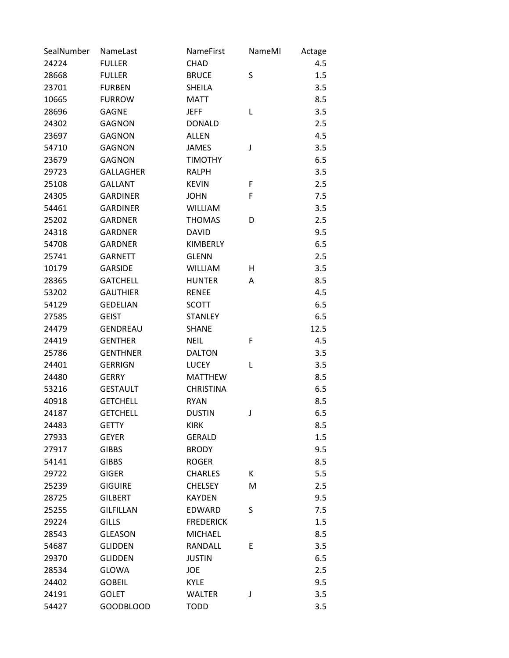| SealNumber | NameLast         | <b>NameFirst</b> | NameMI | Actage |
|------------|------------------|------------------|--------|--------|
| 24224      | <b>FULLER</b>    | CHAD             |        | 4.5    |
| 28668      | <b>FULLER</b>    | <b>BRUCE</b>     | S      | 1.5    |
| 23701      | <b>FURBEN</b>    | <b>SHEILA</b>    |        | 3.5    |
| 10665      | <b>FURROW</b>    | <b>MATT</b>      |        | 8.5    |
| 28696      | <b>GAGNE</b>     | <b>JEFF</b>      | L      | 3.5    |
| 24302      | <b>GAGNON</b>    | <b>DONALD</b>    |        | 2.5    |
| 23697      | <b>GAGNON</b>    | <b>ALLEN</b>     |        | 4.5    |
| 54710      | <b>GAGNON</b>    | <b>JAMES</b>     | J      | 3.5    |
| 23679      | <b>GAGNON</b>    | <b>TIMOTHY</b>   |        | 6.5    |
| 29723      | <b>GALLAGHER</b> | <b>RALPH</b>     |        | 3.5    |
| 25108      | <b>GALLANT</b>   | <b>KEVIN</b>     | F      | 2.5    |
| 24305      | <b>GARDINER</b>  | <b>JOHN</b>      | F      | 7.5    |
| 54461      | <b>GARDINER</b>  | <b>WILLIAM</b>   |        | 3.5    |
| 25202      | <b>GARDNER</b>   | <b>THOMAS</b>    | D      | 2.5    |
| 24318      | <b>GARDNER</b>   | <b>DAVID</b>     |        | 9.5    |
| 54708      | <b>GARDNER</b>   | <b>KIMBERLY</b>  |        | 6.5    |
| 25741      | <b>GARNETT</b>   | <b>GLENN</b>     |        | 2.5    |
| 10179      | <b>GARSIDE</b>   | <b>WILLIAM</b>   | Η      | 3.5    |
| 28365      | <b>GATCHELL</b>  | <b>HUNTER</b>    | Α      | 8.5    |
| 53202      | <b>GAUTHIER</b>  | <b>RENEE</b>     |        | 4.5    |
| 54129      | <b>GEDELIAN</b>  | <b>SCOTT</b>     |        | 6.5    |
| 27585      | <b>GEIST</b>     | <b>STANLEY</b>   |        | 6.5    |
| 24479      | <b>GENDREAU</b>  | <b>SHANE</b>     |        | 12.5   |
| 24419      | <b>GENTHER</b>   | <b>NEIL</b>      | F      | 4.5    |
| 25786      | <b>GENTHNER</b>  | <b>DALTON</b>    |        | 3.5    |
| 24401      | <b>GERRIGN</b>   | <b>LUCEY</b>     | L      | 3.5    |
| 24480      | <b>GERRY</b>     | <b>MATTHEW</b>   |        | 8.5    |
| 53216      | <b>GESTAULT</b>  | <b>CHRISTINA</b> |        | 6.5    |
| 40918      | <b>GETCHELL</b>  | <b>RYAN</b>      |        | 8.5    |
| 24187      | <b>GETCHELL</b>  | <b>DUSTIN</b>    | J      | 6.5    |
| 24483      | <b>GETTY</b>     | <b>KIRK</b>      |        | 8.5    |
| 27933      | <b>GEYER</b>     | <b>GERALD</b>    |        | 1.5    |
| 27917      | <b>GIBBS</b>     | <b>BRODY</b>     |        | 9.5    |
| 54141      | <b>GIBBS</b>     | <b>ROGER</b>     |        | 8.5    |
| 29722      | <b>GIGER</b>     | <b>CHARLES</b>   | К      | 5.5    |
| 25239      | <b>GIGUIRE</b>   | <b>CHELSEY</b>   | M      | 2.5    |
| 28725      | <b>GILBERT</b>   | <b>KAYDEN</b>    |        | 9.5    |
| 25255      | <b>GILFILLAN</b> | <b>EDWARD</b>    | S      | 7.5    |
| 29224      | <b>GILLS</b>     | <b>FREDERICK</b> |        | 1.5    |
| 28543      | <b>GLEASON</b>   | <b>MICHAEL</b>   |        | 8.5    |
| 54687      | <b>GLIDDEN</b>   | RANDALL          | E      | 3.5    |
| 29370      | <b>GLIDDEN</b>   | <b>JUSTIN</b>    |        | 6.5    |
| 28534      | <b>GLOWA</b>     | JOE              |        | 2.5    |
| 24402      | <b>GOBEIL</b>    | <b>KYLE</b>      |        | 9.5    |
| 24191      | <b>GOLET</b>     | <b>WALTER</b>    | J      | 3.5    |
| 54427      | <b>GOODBLOOD</b> | <b>TODD</b>      |        | 3.5    |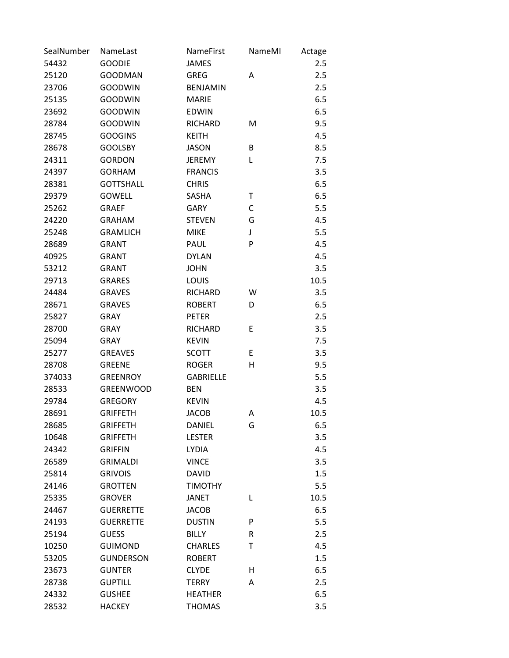| SealNumber | NameLast         | <b>NameFirst</b> | NameMI | Actage |
|------------|------------------|------------------|--------|--------|
| 54432      | <b>GOODIE</b>    | <b>JAMES</b>     |        | 2.5    |
| 25120      | <b>GOODMAN</b>   | <b>GREG</b>      | Α      | 2.5    |
| 23706      | <b>GOODWIN</b>   | <b>BENJAMIN</b>  |        | 2.5    |
| 25135      | <b>GOODWIN</b>   | <b>MARIE</b>     |        | 6.5    |
| 23692      | <b>GOODWIN</b>   | <b>EDWIN</b>     |        | 6.5    |
| 28784      | <b>GOODWIN</b>   | <b>RICHARD</b>   | M      | 9.5    |
| 28745      | <b>GOOGINS</b>   | <b>KEITH</b>     |        | 4.5    |
| 28678      | <b>GOOLSBY</b>   | <b>JASON</b>     | В      | 8.5    |
| 24311      | <b>GORDON</b>    | <b>JEREMY</b>    | L      | 7.5    |
| 24397      | <b>GORHAM</b>    | <b>FRANCIS</b>   |        | 3.5    |
| 28381      | <b>GOTTSHALL</b> | <b>CHRIS</b>     |        | 6.5    |
| 29379      | <b>GOWELL</b>    | SASHA            | Т      | 6.5    |
| 25262      | <b>GRAEF</b>     | <b>GARY</b>      | С      | 5.5    |
| 24220      | <b>GRAHAM</b>    | <b>STEVEN</b>    | G      | 4.5    |
| 25248      | <b>GRAMLICH</b>  | <b>MIKE</b>      | J      | 5.5    |
| 28689      | <b>GRANT</b>     | PAUL             | P      | 4.5    |
| 40925      | <b>GRANT</b>     | <b>DYLAN</b>     |        | 4.5    |
| 53212      | <b>GRANT</b>     | <b>JOHN</b>      |        | 3.5    |
| 29713      | <b>GRARES</b>    | LOUIS            |        | 10.5   |
| 24484      | <b>GRAVES</b>    | RICHARD          | W      | 3.5    |
| 28671      | <b>GRAVES</b>    | <b>ROBERT</b>    | D      | 6.5    |
| 25827      | <b>GRAY</b>      | <b>PETER</b>     |        | 2.5    |
| 28700      | <b>GRAY</b>      | <b>RICHARD</b>   | E      | 3.5    |
| 25094      | <b>GRAY</b>      | <b>KEVIN</b>     |        | 7.5    |
| 25277      | <b>GREAVES</b>   | <b>SCOTT</b>     | E      | 3.5    |
| 28708      | <b>GREENE</b>    | <b>ROGER</b>     | Η      | 9.5    |
| 374033     | <b>GREENROY</b>  | <b>GABRIELLE</b> |        | 5.5    |
| 28533      | <b>GREENWOOD</b> | <b>BEN</b>       |        | 3.5    |
| 29784      | <b>GREGORY</b>   | <b>KEVIN</b>     |        | 4.5    |
| 28691      | <b>GRIFFETH</b>  | <b>JACOB</b>     | Α      | 10.5   |
| 28685      | <b>GRIFFETH</b>  | DANIEL           | G      | 6.5    |
| 10648      | <b>GRIFFETH</b>  | <b>LESTER</b>    |        | 3.5    |
| 24342      | <b>GRIFFIN</b>   | <b>LYDIA</b>     |        | 4.5    |
| 26589      | <b>GRIMALDI</b>  | <b>VINCE</b>     |        | 3.5    |
| 25814      | <b>GRIVOIS</b>   | <b>DAVID</b>     |        | 1.5    |
| 24146      | <b>GROTTEN</b>   | <b>TIMOTHY</b>   |        | 5.5    |
| 25335      | <b>GROVER</b>    | <b>JANET</b>     | L      | 10.5   |
| 24467      | <b>GUERRETTE</b> | <b>JACOB</b>     |        | 6.5    |
| 24193      | <b>GUERRETTE</b> | <b>DUSTIN</b>    | P      | 5.5    |
| 25194      | <b>GUESS</b>     | <b>BILLY</b>     | R      | 2.5    |
| 10250      | <b>GUIMOND</b>   | <b>CHARLES</b>   | Т      | 4.5    |
| 53205      | <b>GUNDERSON</b> | <b>ROBERT</b>    |        | 1.5    |
| 23673      | <b>GUNTER</b>    | <b>CLYDE</b>     | н      | 6.5    |
| 28738      | <b>GUPTILL</b>   | <b>TERRY</b>     | Α      | 2.5    |
| 24332      | <b>GUSHEE</b>    | <b>HEATHER</b>   |        | 6.5    |
| 28532      | <b>HACKEY</b>    | <b>THOMAS</b>    |        | 3.5    |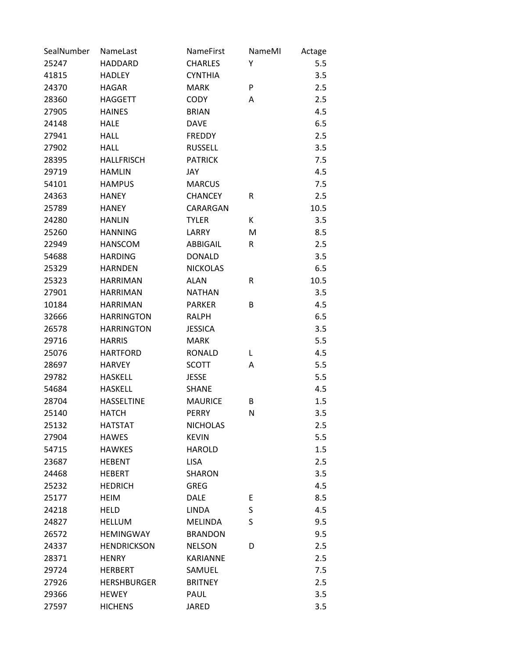| SealNumber | NameLast           | <b>NameFirst</b> | NameMI | Actage |
|------------|--------------------|------------------|--------|--------|
| 25247      | <b>HADDARD</b>     | <b>CHARLES</b>   | Υ      | 5.5    |
| 41815      | <b>HADLEY</b>      | <b>CYNTHIA</b>   |        | 3.5    |
| 24370      | <b>HAGAR</b>       | <b>MARK</b>      | P      | 2.5    |
| 28360      | <b>HAGGETT</b>     | <b>CODY</b>      | Α      | 2.5    |
| 27905      | <b>HAINES</b>      | <b>BRIAN</b>     |        | 4.5    |
| 24148      | <b>HALE</b>        | <b>DAVE</b>      |        | 6.5    |
| 27941      | <b>HALL</b>        | <b>FREDDY</b>    |        | 2.5    |
| 27902      | <b>HALL</b>        | <b>RUSSELL</b>   |        | 3.5    |
| 28395      | <b>HALLFRISCH</b>  | <b>PATRICK</b>   |        | 7.5    |
| 29719      | <b>HAMLIN</b>      | JAY              |        | 4.5    |
| 54101      | <b>HAMPUS</b>      | <b>MARCUS</b>    |        | 7.5    |
| 24363      | <b>HANEY</b>       | <b>CHANCEY</b>   | R      | 2.5    |
| 25789      | <b>HANEY</b>       | CARARGAN         |        | 10.5   |
| 24280      | <b>HANLIN</b>      | <b>TYLER</b>     | К      | 3.5    |
| 25260      | <b>HANNING</b>     | LARRY            | M      | 8.5    |
| 22949      | <b>HANSCOM</b>     | ABBIGAIL         | R      | 2.5    |
| 54688      | <b>HARDING</b>     | <b>DONALD</b>    |        | 3.5    |
| 25329      | <b>HARNDEN</b>     | <b>NICKOLAS</b>  |        | 6.5    |
| 25323      | <b>HARRIMAN</b>    | <b>ALAN</b>      | R      | 10.5   |
| 27901      | <b>HARRIMAN</b>    | <b>NATHAN</b>    |        | 3.5    |
| 10184      | <b>HARRIMAN</b>    | <b>PARKER</b>    | B      | 4.5    |
| 32666      | <b>HARRINGTON</b>  | <b>RALPH</b>     |        | 6.5    |
| 26578      | <b>HARRINGTON</b>  | <b>JESSICA</b>   |        | 3.5    |
| 29716      | <b>HARRIS</b>      | <b>MARK</b>      |        | 5.5    |
| 25076      | <b>HARTFORD</b>    | <b>RONALD</b>    | L      | 4.5    |
| 28697      | <b>HARVEY</b>      | <b>SCOTT</b>     | Α      | 5.5    |
| 29782      | <b>HASKELL</b>     | <b>JESSE</b>     |        | 5.5    |
| 54684      | <b>HASKELL</b>     | <b>SHANE</b>     |        | 4.5    |
| 28704      | <b>HASSELTINE</b>  | <b>MAURICE</b>   | В      | 1.5    |
| 25140      | <b>HATCH</b>       | <b>PERRY</b>     | N      | 3.5    |
| 25132      | <b>HATSTAT</b>     | <b>NICHOLAS</b>  |        | 2.5    |
| 27904      | <b>HAWES</b>       | <b>KEVIN</b>     |        | 5.5    |
| 54715      | <b>HAWKES</b>      | <b>HAROLD</b>    |        | 1.5    |
| 23687      | <b>HEBENT</b>      | <b>LISA</b>      |        | 2.5    |
| 24468      | <b>HEBERT</b>      | <b>SHARON</b>    |        | 3.5    |
| 25232      | <b>HEDRICH</b>     | <b>GREG</b>      |        | 4.5    |
| 25177      | <b>HEIM</b>        | <b>DALE</b>      | E      | 8.5    |
| 24218      | <b>HELD</b>        | <b>LINDA</b>     | S      | 4.5    |
| 24827      | <b>HELLUM</b>      | <b>MELINDA</b>   | S      | 9.5    |
| 26572      | <b>HEMINGWAY</b>   | <b>BRANDON</b>   |        | 9.5    |
| 24337      | <b>HENDRICKSON</b> | <b>NELSON</b>    | D      | 2.5    |
| 28371      | <b>HENRY</b>       | <b>KARIANNE</b>  |        | 2.5    |
| 29724      | <b>HERBERT</b>     | SAMUEL           |        | 7.5    |
| 27926      | <b>HERSHBURGER</b> | <b>BRITNEY</b>   |        | 2.5    |
| 29366      | <b>HEWEY</b>       | PAUL             |        | 3.5    |
| 27597      | <b>HICHENS</b>     | <b>JARED</b>     |        | 3.5    |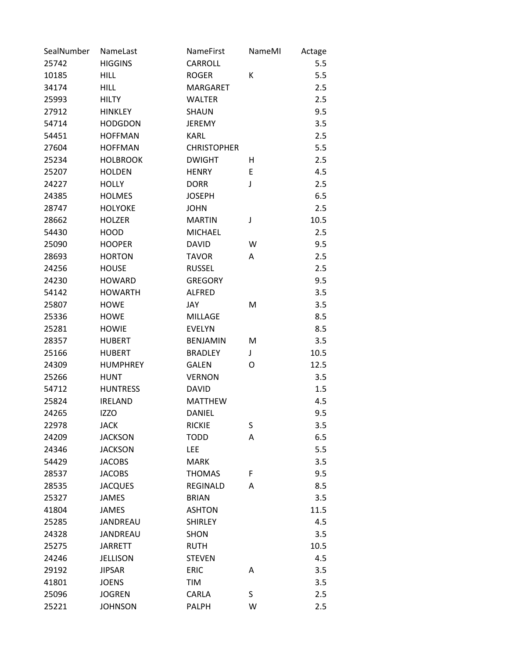| SealNumber | NameLast        | NameFirst          | NameMI | Actage |
|------------|-----------------|--------------------|--------|--------|
| 25742      | <b>HIGGINS</b>  | <b>CARROLL</b>     |        | 5.5    |
| 10185      | <b>HILL</b>     | <b>ROGER</b>       | К      | 5.5    |
| 34174      | <b>HILL</b>     | <b>MARGARET</b>    |        | 2.5    |
| 25993      | <b>HILTY</b>    | <b>WALTER</b>      |        | 2.5    |
| 27912      | <b>HINKLEY</b>  | <b>SHAUN</b>       |        | 9.5    |
| 54714      | <b>HODGDON</b>  | <b>JEREMY</b>      |        | 3.5    |
| 54451      | <b>HOFFMAN</b>  | <b>KARL</b>        |        | 2.5    |
| 27604      | <b>HOFFMAN</b>  | <b>CHRISTOPHER</b> |        | 5.5    |
| 25234      | <b>HOLBROOK</b> | <b>DWIGHT</b>      | н      | 2.5    |
| 25207      | <b>HOLDEN</b>   | <b>HENRY</b>       | Ε      | 4.5    |
| 24227      | <b>HOLLY</b>    | <b>DORR</b>        | J      | 2.5    |
| 24385      | <b>HOLMES</b>   | <b>JOSEPH</b>      |        | 6.5    |
| 28747      | <b>HOLYOKE</b>  | <b>JOHN</b>        |        | 2.5    |
| 28662      | <b>HOLZER</b>   | <b>MARTIN</b>      | J      | 10.5   |
| 54430      | <b>HOOD</b>     | <b>MICHAEL</b>     |        | 2.5    |
| 25090      | <b>HOOPER</b>   | <b>DAVID</b>       | W      | 9.5    |
| 28693      | <b>HORTON</b>   | <b>TAVOR</b>       | Α      | 2.5    |
| 24256      | <b>HOUSE</b>    | <b>RUSSEL</b>      |        | 2.5    |
| 24230      | <b>HOWARD</b>   | <b>GREGORY</b>     |        | 9.5    |
| 54142      | <b>HOWARTH</b>  | <b>ALFRED</b>      |        | 3.5    |
| 25807      | <b>HOWE</b>     | JAY                | M      | 3.5    |
| 25336      | <b>HOWE</b>     | <b>MILLAGE</b>     |        | 8.5    |
| 25281      | <b>HOWIE</b>    | <b>EVELYN</b>      |        | 8.5    |
| 28357      | <b>HUBERT</b>   | <b>BENJAMIN</b>    | M      | 3.5    |
| 25166      | <b>HUBERT</b>   | <b>BRADLEY</b>     | J      | 10.5   |
| 24309      | <b>HUMPHREY</b> | <b>GALEN</b>       | O      | 12.5   |
| 25266      | <b>HUNT</b>     | <b>VERNON</b>      |        | 3.5    |
| 54712      | <b>HUNTRESS</b> | <b>DAVID</b>       |        | 1.5    |
| 25824      | <b>IRELAND</b>  | <b>MATTHEW</b>     |        | 4.5    |
| 24265      | <b>IZZO</b>     | <b>DANIEL</b>      |        | 9.5    |
| 22978      | <b>JACK</b>     | <b>RICKIE</b>      | S      | 3.5    |
| 24209      | <b>JACKSON</b>  | <b>TODD</b>        | A      | 6.5    |
| 24346      | <b>JACKSON</b>  | LEE                |        | 5.5    |
| 54429      | <b>JACOBS</b>   | <b>MARK</b>        |        | 3.5    |
| 28537      | <b>JACOBS</b>   | <b>THOMAS</b>      | F      | 9.5    |
| 28535      | <b>JACQUES</b>  | <b>REGINALD</b>    | Α      | 8.5    |
| 25327      | <b>JAMES</b>    | <b>BRIAN</b>       |        | 3.5    |
| 41804      | <b>JAMES</b>    | <b>ASHTON</b>      |        | 11.5   |
| 25285      | JANDREAU        | <b>SHIRLEY</b>     |        | 4.5    |
| 24328      | JANDREAU        | <b>SHON</b>        |        | 3.5    |
| 25275      | <b>JARRETT</b>  | <b>RUTH</b>        |        | 10.5   |
| 24246      | <b>JELLISON</b> | <b>STEVEN</b>      |        | 4.5    |
| 29192      | <b>JIPSAR</b>   | <b>ERIC</b>        | Α      | 3.5    |
| 41801      | <b>JOENS</b>    | TIM                |        | 3.5    |
| 25096      | <b>JOGREN</b>   | CARLA              | S      | 2.5    |
| 25221      | <b>JOHNSON</b>  | <b>PALPH</b>       | W      | 2.5    |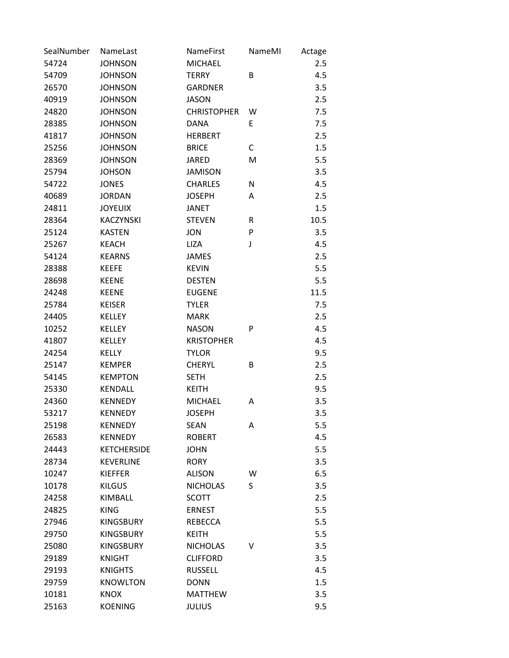| SealNumber | NameLast           | NameFirst          | NameMI | Actage |
|------------|--------------------|--------------------|--------|--------|
| 54724      | <b>JOHNSON</b>     | <b>MICHAEL</b>     |        | 2.5    |
| 54709      | <b>JOHNSON</b>     | <b>TERRY</b>       | B      | 4.5    |
| 26570      | <b>JOHNSON</b>     | <b>GARDNER</b>     |        | 3.5    |
| 40919      | <b>JOHNSON</b>     | <b>JASON</b>       |        | 2.5    |
| 24820      | <b>JOHNSON</b>     | <b>CHRISTOPHER</b> | W      | 7.5    |
| 28385      | <b>JOHNSON</b>     | <b>DANA</b>        | E      | 7.5    |
| 41817      | <b>JOHNSON</b>     | <b>HERBERT</b>     |        | 2.5    |
| 25256      | <b>JOHNSON</b>     | <b>BRICE</b>       | С      | 1.5    |
| 28369      | <b>JOHNSON</b>     | <b>JARED</b>       | M      | 5.5    |
| 25794      | <b>JOHSON</b>      | <b>JAMISON</b>     |        | 3.5    |
| 54722      | <b>JONES</b>       | <b>CHARLES</b>     | N      | 4.5    |
| 40689      | <b>JORDAN</b>      | <b>JOSEPH</b>      | A      | 2.5    |
| 24811      | <b>JOYEUIX</b>     | <b>JANET</b>       |        | 1.5    |
| 28364      | <b>KACZYNSKI</b>   | <b>STEVEN</b>      | R      | 10.5   |
| 25124      | <b>KASTEN</b>      | <b>JON</b>         | P      | 3.5    |
| 25267      | <b>KEACH</b>       | <b>LIZA</b>        | J      | 4.5    |
| 54124      | <b>KEARNS</b>      | <b>JAMES</b>       |        | 2.5    |
| 28388      | <b>KEEFE</b>       | <b>KEVIN</b>       |        | 5.5    |
| 28698      | <b>KEENE</b>       | <b>DESTEN</b>      |        | 5.5    |
| 24248      | <b>KEENE</b>       | <b>EUGENE</b>      |        | 11.5   |
| 25784      | <b>KEISER</b>      | <b>TYLER</b>       |        | 7.5    |
| 24405      | <b>KELLEY</b>      | <b>MARK</b>        |        | 2.5    |
| 10252      | KELLEY             | <b>NASON</b>       | P      | 4.5    |
| 41807      | <b>KELLEY</b>      | <b>KRISTOPHER</b>  |        | 4.5    |
| 24254      | <b>KELLY</b>       | <b>TYLOR</b>       |        | 9.5    |
| 25147      | <b>KEMPER</b>      | <b>CHERYL</b>      | В      | 2.5    |
| 54145      | <b>KEMPTON</b>     | <b>SETH</b>        |        | 2.5    |
| 25330      | <b>KENDALL</b>     | <b>KEITH</b>       |        | 9.5    |
| 24360      | <b>KENNEDY</b>     | <b>MICHAEL</b>     | A      | 3.5    |
| 53217      | <b>KENNEDY</b>     | <b>JOSEPH</b>      |        | 3.5    |
| 25198      | <b>KENNEDY</b>     | <b>SEAN</b>        | Α      | 5.5    |
| 26583      | <b>KENNEDY</b>     | <b>ROBERT</b>      |        | 4.5    |
| 24443      | <b>KETCHERSIDE</b> | JOHN               |        | 5.5    |
| 28734      | <b>KEVERLINE</b>   | <b>RORY</b>        |        | 3.5    |
| 10247      | <b>KIEFFER</b>     | <b>ALISON</b>      | W      | 6.5    |
| 10178      | <b>KILGUS</b>      | <b>NICHOLAS</b>    | S      | 3.5    |
| 24258      | KIMBALL            | <b>SCOTT</b>       |        | 2.5    |
| 24825      | <b>KING</b>        | <b>ERNEST</b>      |        | 5.5    |
| 27946      | <b>KINGSBURY</b>   | <b>REBECCA</b>     |        | 5.5    |
| 29750      | <b>KINGSBURY</b>   | <b>KEITH</b>       |        | 5.5    |
| 25080      | <b>KINGSBURY</b>   | <b>NICHOLAS</b>    | v      | 3.5    |
| 29189      | <b>KNIGHT</b>      | <b>CLIFFORD</b>    |        | 3.5    |
| 29193      | <b>KNIGHTS</b>     | <b>RUSSELL</b>     |        | 4.5    |
| 29759      | <b>KNOWLTON</b>    | <b>DONN</b>        |        | 1.5    |
| 10181      | <b>KNOX</b>        | <b>MATTHEW</b>     |        | 3.5    |
| 25163      | <b>KOENING</b>     | <b>JULIUS</b>      |        | 9.5    |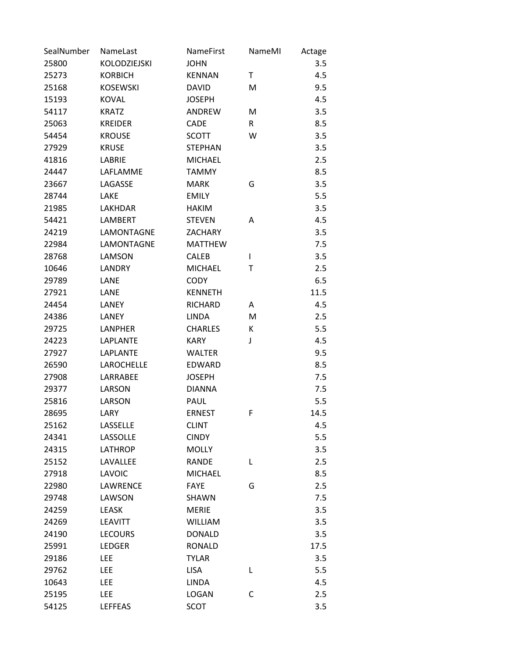| SealNumber | NameLast        | NameFirst      | NameMI       | Actage |
|------------|-----------------|----------------|--------------|--------|
| 25800      | KOLODZIEJSKI    | <b>JOHN</b>    |              | 3.5    |
| 25273      | <b>KORBICH</b>  | <b>KENNAN</b>  | Τ            | 4.5    |
| 25168      | <b>KOSEWSKI</b> | <b>DAVID</b>   | M            | 9.5    |
| 15193      | <b>KOVAL</b>    | <b>JOSEPH</b>  |              | 4.5    |
| 54117      | <b>KRATZ</b>    | ANDREW         | M            | 3.5    |
| 25063      | <b>KREIDER</b>  | <b>CADE</b>    | $\mathsf{R}$ | 8.5    |
| 54454      | <b>KROUSE</b>   | <b>SCOTT</b>   | W            | 3.5    |
| 27929      | <b>KRUSE</b>    | <b>STEPHAN</b> |              | 3.5    |
| 41816      | LABRIE          | <b>MICHAEL</b> |              | 2.5    |
| 24447      | LAFLAMME        | <b>TAMMY</b>   |              | 8.5    |
| 23667      | LAGASSE         | <b>MARK</b>    | G            | 3.5    |
| 28744      | LAKE            | <b>EMILY</b>   |              | 5.5    |
| 21985      | LAKHDAR         | <b>HAKIM</b>   |              | 3.5    |
| 54421      | <b>LAMBERT</b>  | <b>STEVEN</b>  | Α            | 4.5    |
| 24219      | LAMONTAGNE      | <b>ZACHARY</b> |              | 3.5    |
| 22984      | LAMONTAGNE      | <b>MATTHEW</b> |              | 7.5    |
| 28768      | LAMSON          | <b>CALEB</b>   | L            | 3.5    |
| 10646      | <b>LANDRY</b>   | <b>MICHAEL</b> | Τ            | 2.5    |
| 29789      | LANE            | <b>CODY</b>    |              | 6.5    |
| 27921      | LANE            | <b>KENNETH</b> |              | 11.5   |
| 24454      | LANEY           | <b>RICHARD</b> | A            | 4.5    |
| 24386      | LANEY           | <b>LINDA</b>   | M            | 2.5    |
| 29725      | <b>LANPHER</b>  | <b>CHARLES</b> | К            | 5.5    |
| 24223      | <b>LAPLANTE</b> | <b>KARY</b>    | J            | 4.5    |
| 27927      | <b>LAPLANTE</b> | <b>WALTER</b>  |              | 9.5    |
| 26590      | LAROCHELLE      | <b>EDWARD</b>  |              | 8.5    |
| 27908      | LARRABEE        | <b>JOSEPH</b>  |              | 7.5    |
| 29377      | LARSON          | <b>DIANNA</b>  |              | 7.5    |
| 25816      | LARSON          | PAUL           |              | 5.5    |
| 28695      | LARY            | <b>ERNEST</b>  | F            | 14.5   |
| 25162      | LASSELLE        | <b>CLINT</b>   |              | 4.5    |
| 24341      | LASSOLLE        | <b>CINDY</b>   |              | 5.5    |
| 24315      | <b>LATHROP</b>  | <b>MOLLY</b>   |              | 3.5    |
| 25152      | LAVALLEE        | <b>RANDE</b>   | L            | 2.5    |
| 27918      | <b>LAVOIC</b>   | <b>MICHAEL</b> |              | 8.5    |
| 22980      | <b>LAWRENCE</b> | <b>FAYE</b>    | G            | 2.5    |
| 29748      | LAWSON          | SHAWN          |              | 7.5    |
| 24259      | <b>LEASK</b>    | <b>MERIE</b>   |              | 3.5    |
| 24269      | <b>LEAVITT</b>  | <b>WILLIAM</b> |              | 3.5    |
| 24190      | <b>LECOURS</b>  | <b>DONALD</b>  |              | 3.5    |
| 25991      | <b>LEDGER</b>   | <b>RONALD</b>  |              | 17.5   |
| 29186      | <b>LEE</b>      | <b>TYLAR</b>   |              | 3.5    |
| 29762      | <b>LEE</b>      | <b>LISA</b>    | Г            | 5.5    |
| 10643      | LEE             | <b>LINDA</b>   |              | 4.5    |
| 25195      | LEE             | LOGAN          | C            | 2.5    |
| 54125      | <b>LEFFEAS</b>  | <b>SCOT</b>    |              | 3.5    |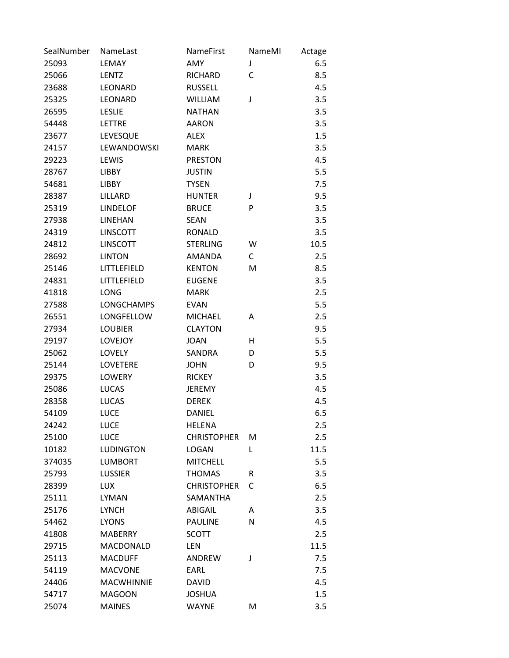| SealNumber | NameLast          | <b>NameFirst</b>   | NameMI | Actage |
|------------|-------------------|--------------------|--------|--------|
| 25093      | LEMAY             | AMY                | J      | 6.5    |
| 25066      | <b>LENTZ</b>      | RICHARD            | C      | 8.5    |
| 23688      | LEONARD           | <b>RUSSELL</b>     |        | 4.5    |
| 25325      | <b>LEONARD</b>    | <b>WILLIAM</b>     | J      | 3.5    |
| 26595      | <b>LESLIE</b>     | <b>NATHAN</b>      |        | 3.5    |
| 54448      | <b>LETTRE</b>     | <b>AARON</b>       |        | 3.5    |
| 23677      | LEVESQUE          | <b>ALEX</b>        |        | 1.5    |
| 24157      | LEWANDOWSKI       | <b>MARK</b>        |        | 3.5    |
| 29223      | LEWIS             | <b>PRESTON</b>     |        | 4.5    |
| 28767      | <b>LIBBY</b>      | <b>JUSTIN</b>      |        | 5.5    |
| 54681      | <b>LIBBY</b>      | <b>TYSEN</b>       |        | 7.5    |
| 28387      | LILLARD           | <b>HUNTER</b>      | J      | 9.5    |
| 25319      | <b>LINDELOF</b>   | <b>BRUCE</b>       | P      | 3.5    |
| 27938      | <b>LINEHAN</b>    | <b>SEAN</b>        |        | 3.5    |
| 24319      | <b>LINSCOTT</b>   | <b>RONALD</b>      |        | 3.5    |
| 24812      | <b>LINSCOTT</b>   | <b>STERLING</b>    | W      | 10.5   |
| 28692      | <b>LINTON</b>     | <b>AMANDA</b>      | C      | 2.5    |
| 25146      | LITTLEFIELD       | <b>KENTON</b>      | M      | 8.5    |
| 24831      | LITTLEFIELD       | <b>EUGENE</b>      |        | 3.5    |
| 41818      | <b>LONG</b>       | <b>MARK</b>        |        | 2.5    |
| 27588      | <b>LONGCHAMPS</b> | <b>EVAN</b>        |        | 5.5    |
| 26551      | LONGFELLOW        | <b>MICHAEL</b>     | Α      | 2.5    |
| 27934      | <b>LOUBIER</b>    | <b>CLAYTON</b>     |        | 9.5    |
| 29197      | LOVEJOY           | <b>JOAN</b>        | н      | 5.5    |
| 25062      | LOVELY            | <b>SANDRA</b>      | D      | 5.5    |
| 25144      | <b>LOVETERE</b>   | <b>JOHN</b>        | D      | 9.5    |
| 29375      | <b>LOWERY</b>     | <b>RICKEY</b>      |        | 3.5    |
| 25086      | <b>LUCAS</b>      | <b>JEREMY</b>      |        | 4.5    |
| 28358      | <b>LUCAS</b>      | <b>DEREK</b>       |        | 4.5    |
| 54109      | <b>LUCE</b>       | <b>DANIEL</b>      |        | 6.5    |
| 24242      | <b>LUCE</b>       | <b>HELENA</b>      |        | 2.5    |
| 25100      | <b>LUCE</b>       | <b>CHRISTOPHER</b> | M      | 2.5    |
| 10182      | <b>LUDINGTON</b>  | LOGAN              | L      | 11.5   |
| 374035     | <b>LUMBORT</b>    | <b>MITCHELL</b>    |        | 5.5    |
| 25793      | <b>LUSSIER</b>    | <b>THOMAS</b>      | R      | 3.5    |
| 28399      | <b>LUX</b>        | <b>CHRISTOPHER</b> | С      | 6.5    |
| 25111      | <b>LYMAN</b>      | <b>SAMANTHA</b>    |        | 2.5    |
| 25176      | <b>LYNCH</b>      | ABIGAIL            | A      | 3.5    |
| 54462      | <b>LYONS</b>      | <b>PAULINE</b>     | N      | 4.5    |
| 41808      | <b>MABERRY</b>    | <b>SCOTT</b>       |        | 2.5    |
| 29715      | MACDONALD         | LEN                |        | 11.5   |
| 25113      | <b>MACDUFF</b>    | ANDREW             | J      | 7.5    |
| 54119      | <b>MACVONE</b>    | EARL               |        | 7.5    |
| 24406      | <b>MACWHINNIE</b> | <b>DAVID</b>       |        | 4.5    |
| 54717      | <b>MAGOON</b>     | JOSHUA             |        | 1.5    |
| 25074      | <b>MAINES</b>     | <b>WAYNE</b>       | M      | 3.5    |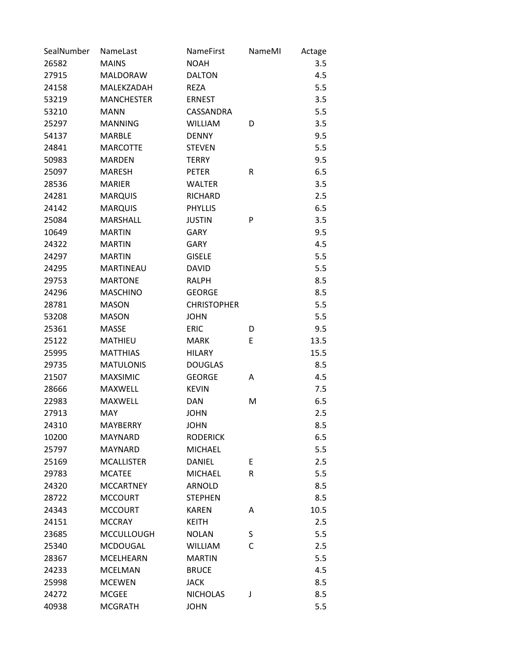| SealNumber | NameLast          | NameFirst          | NameMI | Actage |
|------------|-------------------|--------------------|--------|--------|
| 26582      | <b>MAINS</b>      | <b>NOAH</b>        |        | 3.5    |
| 27915      | <b>MALDORAW</b>   | <b>DALTON</b>      |        | 4.5    |
| 24158      | MALEKZADAH        | <b>REZA</b>        |        | 5.5    |
| 53219      | <b>MANCHESTER</b> | <b>ERNEST</b>      |        | 3.5    |
| 53210      | <b>MANN</b>       | CASSANDRA          |        | 5.5    |
| 25297      | <b>MANNING</b>    | <b>WILLIAM</b>     | D      | 3.5    |
| 54137      | <b>MARBLE</b>     | <b>DENNY</b>       |        | 9.5    |
| 24841      | <b>MARCOTTE</b>   | <b>STEVEN</b>      |        | 5.5    |
| 50983      | <b>MARDEN</b>     | <b>TERRY</b>       |        | 9.5    |
| 25097      | <b>MARESH</b>     | <b>PETER</b>       | R      | 6.5    |
| 28536      | <b>MARIER</b>     | <b>WALTER</b>      |        | 3.5    |
| 24281      | <b>MARQUIS</b>    | <b>RICHARD</b>     |        | 2.5    |
| 24142      | <b>MARQUIS</b>    | <b>PHYLLIS</b>     |        | 6.5    |
| 25084      | <b>MARSHALL</b>   | <b>JUSTIN</b>      | P      | 3.5    |
| 10649      | <b>MARTIN</b>     | <b>GARY</b>        |        | 9.5    |
| 24322      | <b>MARTIN</b>     | <b>GARY</b>        |        | 4.5    |
| 24297      | <b>MARTIN</b>     | <b>GISELE</b>      |        | 5.5    |
| 24295      | <b>MARTINEAU</b>  | <b>DAVID</b>       |        | 5.5    |
| 29753      | <b>MARTONE</b>    | RALPH              |        | 8.5    |
| 24296      | <b>MASCHINO</b>   | <b>GEORGE</b>      |        | 8.5    |
| 28781      | <b>MASON</b>      | <b>CHRISTOPHER</b> |        | 5.5    |
| 53208      | <b>MASON</b>      | <b>JOHN</b>        |        | 5.5    |
| 25361      | <b>MASSE</b>      | <b>ERIC</b>        | D      | 9.5    |
| 25122      | <b>MATHIEU</b>    | <b>MARK</b>        | E      | 13.5   |
| 25995      | <b>MATTHIAS</b>   | <b>HILARY</b>      |        | 15.5   |
| 29735      | <b>MATULONIS</b>  | <b>DOUGLAS</b>     |        | 8.5    |
| 21507      | <b>MAXSIMIC</b>   | <b>GEORGE</b>      | Α      | 4.5    |
| 28666      | <b>MAXWELL</b>    | <b>KEVIN</b>       |        | 7.5    |
| 22983      | <b>MAXWELL</b>    | <b>DAN</b>         | M      | 6.5    |
| 27913      | <b>MAY</b>        | <b>JOHN</b>        |        | 2.5    |
| 24310      | <b>MAYBERRY</b>   | <b>JOHN</b>        |        | 8.5    |
| 10200      | <b>MAYNARD</b>    | <b>RODERICK</b>    |        | 6.5    |
| 25797      | <b>MAYNARD</b>    | <b>MICHAEL</b>     |        | 5.5    |
| 25169      | <b>MCALLISTER</b> | <b>DANIEL</b>      | E      | 2.5    |
| 29783      | <b>MCATEE</b>     | <b>MICHAEL</b>     | R      | 5.5    |
| 24320      | <b>MCCARTNEY</b>  | <b>ARNOLD</b>      |        | 8.5    |
| 28722      | <b>MCCOURT</b>    | <b>STEPHEN</b>     |        | 8.5    |
| 24343      | <b>MCCOURT</b>    | <b>KAREN</b>       | A      | 10.5   |
| 24151      | <b>MCCRAY</b>     | <b>KEITH</b>       |        | 2.5    |
| 23685      | <b>MCCULLOUGH</b> | <b>NOLAN</b>       | S      | 5.5    |
| 25340      | <b>MCDOUGAL</b>   | <b>WILLIAM</b>     | C      | 2.5    |
| 28367      | <b>MCELHEARN</b>  | <b>MARTIN</b>      |        | 5.5    |
| 24233      | <b>MCELMAN</b>    | <b>BRUCE</b>       |        | 4.5    |
| 25998      | <b>MCEWEN</b>     | <b>JACK</b>        |        | 8.5    |
| 24272      | <b>MCGEE</b>      | <b>NICHOLAS</b>    | J      | 8.5    |
| 40938      | <b>MCGRATH</b>    | <b>JOHN</b>        |        | 5.5    |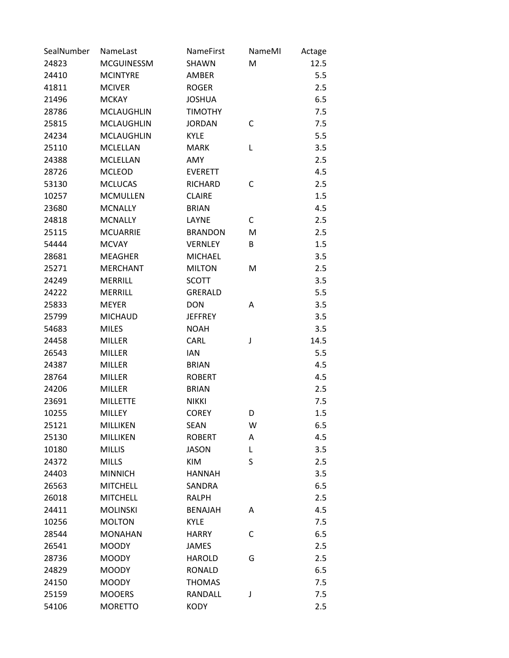| SealNumber | NameLast          | NameFirst      | NameMI | Actage |
|------------|-------------------|----------------|--------|--------|
| 24823      | <b>MCGUINESSM</b> | <b>SHAWN</b>   | M      | 12.5   |
| 24410      | <b>MCINTYRE</b>   | <b>AMBER</b>   |        | 5.5    |
| 41811      | <b>MCIVER</b>     | <b>ROGER</b>   |        | 2.5    |
| 21496      | <b>MCKAY</b>      | <b>JOSHUA</b>  |        | 6.5    |
| 28786      | <b>MCLAUGHLIN</b> | <b>TIMOTHY</b> |        | 7.5    |
| 25815      | <b>MCLAUGHLIN</b> | <b>JORDAN</b>  | C      | 7.5    |
| 24234      | <b>MCLAUGHLIN</b> | <b>KYLE</b>    |        | 5.5    |
| 25110      | <b>MCLELLAN</b>   | <b>MARK</b>    | L      | 3.5    |
| 24388      | <b>MCLELLAN</b>   | AMY            |        | 2.5    |
| 28726      | <b>MCLEOD</b>     | <b>EVERETT</b> |        | 4.5    |
| 53130      | <b>MCLUCAS</b>    | <b>RICHARD</b> | С      | 2.5    |
| 10257      | <b>MCMULLEN</b>   | <b>CLAIRE</b>  |        | 1.5    |
| 23680      | <b>MCNALLY</b>    | <b>BRIAN</b>   |        | 4.5    |
| 24818      | <b>MCNALLY</b>    | LAYNE          | C      | 2.5    |
| 25115      | <b>MCUARRIE</b>   | <b>BRANDON</b> | M      | 2.5    |
| 54444      | <b>MCVAY</b>      | <b>VERNLEY</b> | B      | 1.5    |
| 28681      | <b>MEAGHER</b>    | <b>MICHAEL</b> |        | 3.5    |
| 25271      | <b>MERCHANT</b>   | <b>MILTON</b>  | M      | 2.5    |
| 24249      | <b>MERRILL</b>    | <b>SCOTT</b>   |        | 3.5    |
| 24222      | <b>MERRILL</b>    | <b>GRERALD</b> |        | 5.5    |
| 25833      | <b>MEYER</b>      | <b>DON</b>     | A      | 3.5    |
| 25799      | <b>MICHAUD</b>    | <b>JEFFREY</b> |        | 3.5    |
| 54683      | <b>MILES</b>      | <b>NOAH</b>    |        | 3.5    |
| 24458      | <b>MILLER</b>     | CARL           | J      | 14.5   |
| 26543      | <b>MILLER</b>     | <b>IAN</b>     |        | 5.5    |
| 24387      | <b>MILLER</b>     | <b>BRIAN</b>   |        | 4.5    |
| 28764      | <b>MILLER</b>     | <b>ROBERT</b>  |        | 4.5    |
| 24206      | <b>MILLER</b>     | <b>BRIAN</b>   |        | 2.5    |
| 23691      | <b>MILLETTE</b>   | <b>NIKKI</b>   |        | 7.5    |
| 10255      | <b>MILLEY</b>     | <b>COREY</b>   | D      | 1.5    |
| 25121      | MILLIKEN          | <b>SEAN</b>    | W      | 6.5    |
| 25130      | MILLIKEN          | <b>ROBERT</b>  | Α      | 4.5    |
| 10180      | <b>MILLIS</b>     | <b>JASON</b>   | Г      | 3.5    |
| 24372      | <b>MILLS</b>      | KIM            | S      | 2.5    |
| 24403      | <b>MINNICH</b>    | <b>HANNAH</b>  |        | 3.5    |
| 26563      | <b>MITCHELL</b>   | <b>SANDRA</b>  |        | 6.5    |
| 26018      | <b>MITCHELL</b>   | <b>RALPH</b>   |        | 2.5    |
| 24411      | <b>MOLINSKI</b>   | <b>BENAJAH</b> | A      | 4.5    |
| 10256      | <b>MOLTON</b>     | <b>KYLE</b>    |        | 7.5    |
| 28544      | <b>MONAHAN</b>    | <b>HARRY</b>   | C      | 6.5    |
| 26541      | <b>MOODY</b>      | <b>JAMES</b>   |        | 2.5    |
| 28736      | <b>MOODY</b>      | <b>HAROLD</b>  | G      | 2.5    |
| 24829      | <b>MOODY</b>      | <b>RONALD</b>  |        | 6.5    |
| 24150      | <b>MOODY</b>      | <b>THOMAS</b>  |        | 7.5    |
| 25159      | <b>MOOERS</b>     | RANDALL        | J      | 7.5    |
| 54106      | <b>MORETTO</b>    | <b>KODY</b>    |        | 2.5    |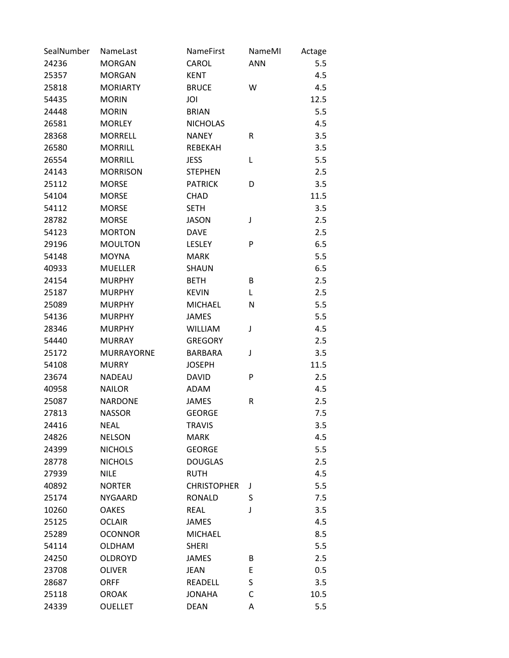| SealNumber | NameLast          | NameFirst          | NameMI     | Actage |
|------------|-------------------|--------------------|------------|--------|
| 24236      | <b>MORGAN</b>     | CAROL              | <b>ANN</b> | 5.5    |
| 25357      | <b>MORGAN</b>     | <b>KENT</b>        |            | 4.5    |
| 25818      | <b>MORIARTY</b>   | <b>BRUCE</b>       | W          | 4.5    |
| 54435      | <b>MORIN</b>      | JOI                |            | 12.5   |
| 24448      | <b>MORIN</b>      | <b>BRIAN</b>       |            | 5.5    |
| 26581      | <b>MORLEY</b>     | <b>NICHOLAS</b>    |            | 4.5    |
| 28368      | <b>MORRELL</b>    | <b>NANEY</b>       | R          | 3.5    |
| 26580      | <b>MORRILL</b>    | REBEKAH            |            | 3.5    |
| 26554      | <b>MORRILL</b>    | <b>JESS</b>        | L          | 5.5    |
| 24143      | <b>MORRISON</b>   | <b>STEPHEN</b>     |            | 2.5    |
| 25112      | <b>MORSE</b>      | <b>PATRICK</b>     | D          | 3.5    |
| 54104      | <b>MORSE</b>      | CHAD               |            | 11.5   |
| 54112      | <b>MORSE</b>      | <b>SETH</b>        |            | 3.5    |
| 28782      | <b>MORSE</b>      | <b>JASON</b>       | J          | 2.5    |
| 54123      | <b>MORTON</b>     | <b>DAVE</b>        |            | 2.5    |
| 29196      | <b>MOULTON</b>    | <b>LESLEY</b>      | P          | 6.5    |
| 54148      | <b>MOYNA</b>      | <b>MARK</b>        |            | 5.5    |
| 40933      | <b>MUELLER</b>    | <b>SHAUN</b>       |            | 6.5    |
| 24154      | <b>MURPHY</b>     | <b>BETH</b>        | В          | 2.5    |
| 25187      | <b>MURPHY</b>     | <b>KEVIN</b>       | Г          | 2.5    |
| 25089      | <b>MURPHY</b>     | <b>MICHAEL</b>     | N          | 5.5    |
| 54136      | <b>MURPHY</b>     | <b>JAMES</b>       |            | 5.5    |
| 28346      | <b>MURPHY</b>     | <b>WILLIAM</b>     | J          | 4.5    |
| 54440      | <b>MURRAY</b>     | <b>GREGORY</b>     |            | 2.5    |
| 25172      | <b>MURRAYORNE</b> | <b>BARBARA</b>     | J          | 3.5    |
| 54108      | <b>MURRY</b>      | <b>JOSEPH</b>      |            | 11.5   |
| 23674      | <b>NADEAU</b>     | <b>DAVID</b>       | P          | 2.5    |
| 40958      | <b>NAILOR</b>     | <b>ADAM</b>        |            | 4.5    |
| 25087      | <b>NARDONE</b>    | <b>JAMES</b>       | R          | 2.5    |
| 27813      | <b>NASSOR</b>     | <b>GEORGE</b>      |            | 7.5    |
| 24416      | <b>NEAL</b>       | <b>TRAVIS</b>      |            | 3.5    |
| 24826      | <b>NELSON</b>     | <b>MARK</b>        |            | 4.5    |
| 24399      | <b>NICHOLS</b>    | <b>GEORGE</b>      |            | 5.5    |
| 28778      | <b>NICHOLS</b>    | <b>DOUGLAS</b>     |            | 2.5    |
| 27939      | <b>NILE</b>       | <b>RUTH</b>        |            | 4.5    |
| 40892      | <b>NORTER</b>     | <b>CHRISTOPHER</b> | J          | 5.5    |
| 25174      | <b>NYGAARD</b>    | <b>RONALD</b>      | S          | 7.5    |
| 10260      | <b>OAKES</b>      | <b>REAL</b>        | J          | 3.5    |
| 25125      | <b>OCLAIR</b>     | <b>JAMES</b>       |            | 4.5    |
| 25289      | <b>OCONNOR</b>    | <b>MICHAEL</b>     |            | 8.5    |
| 54114      | <b>OLDHAM</b>     | <b>SHERI</b>       |            | 5.5    |
| 24250      | <b>OLDROYD</b>    | <b>JAMES</b>       | В          | 2.5    |
| 23708      | <b>OLIVER</b>     | <b>JEAN</b>        | E          | 0.5    |
| 28687      | <b>ORFF</b>       | <b>READELL</b>     | S          | 3.5    |
| 25118      | <b>OROAK</b>      | <b>JONAHA</b>      | С          | 10.5   |
| 24339      | <b>OUELLET</b>    | <b>DEAN</b>        | Α          | 5.5    |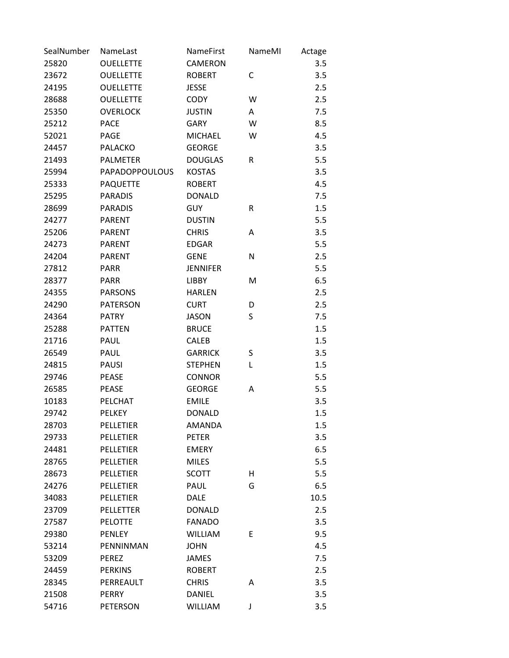| SealNumber | NameLast              | NameFirst       | NameMI | Actage |
|------------|-----------------------|-----------------|--------|--------|
| 25820      | <b>OUELLETTE</b>      | CAMERON         |        | 3.5    |
| 23672      | <b>OUELLETTE</b>      | <b>ROBERT</b>   | C      | 3.5    |
| 24195      | <b>OUELLETTE</b>      | <b>JESSE</b>    |        | 2.5    |
| 28688      | <b>OUELLETTE</b>      | <b>CODY</b>     | W      | 2.5    |
| 25350      | <b>OVERLOCK</b>       | <b>JUSTIN</b>   | Α      | 7.5    |
| 25212      | <b>PACE</b>           | <b>GARY</b>     | W      | 8.5    |
| 52021      | PAGE                  | <b>MICHAEL</b>  | W      | 4.5    |
| 24457      | <b>PALACKO</b>        | <b>GEORGE</b>   |        | 3.5    |
| 21493      | <b>PALMETER</b>       | <b>DOUGLAS</b>  | R      | 5.5    |
| 25994      | <b>PAPADOPPOULOUS</b> | <b>KOSTAS</b>   |        | 3.5    |
| 25333      | <b>PAQUETTE</b>       | <b>ROBERT</b>   |        | 4.5    |
| 25295      | <b>PARADIS</b>        | <b>DONALD</b>   |        | 7.5    |
| 28699      | <b>PARADIS</b>        | <b>GUY</b>      | R      | 1.5    |
| 24277      | <b>PARENT</b>         | <b>DUSTIN</b>   |        | 5.5    |
| 25206      | <b>PARENT</b>         | <b>CHRIS</b>    | Α      | 3.5    |
| 24273      | <b>PARENT</b>         | <b>EDGAR</b>    |        | 5.5    |
| 24204      | <b>PARENT</b>         | <b>GENE</b>     | N      | 2.5    |
| 27812      | <b>PARR</b>           | <b>JENNIFER</b> |        | 5.5    |
| 28377      | <b>PARR</b>           | <b>LIBBY</b>    | M      | 6.5    |
| 24355      | <b>PARSONS</b>        | <b>HARLEN</b>   |        | 2.5    |
| 24290      | <b>PATERSON</b>       | <b>CURT</b>     | D      | 2.5    |
| 24364      | <b>PATRY</b>          | <b>JASON</b>    | S      | 7.5    |
| 25288      | <b>PATTEN</b>         | <b>BRUCE</b>    |        | 1.5    |
| 21716      | PAUL                  | <b>CALEB</b>    |        | 1.5    |
| 26549      | PAUL                  | <b>GARRICK</b>  | S      | 3.5    |
| 24815      | <b>PAUSI</b>          | <b>STEPHEN</b>  | L      | 1.5    |
| 29746      | <b>PEASE</b>          | <b>CONNOR</b>   |        | 5.5    |
| 26585      | <b>PEASE</b>          | <b>GEORGE</b>   | Α      | 5.5    |
| 10183      | PELCHAT               | <b>EMILE</b>    |        | 3.5    |
| 29742      | <b>PELKEY</b>         | <b>DONALD</b>   |        | 1.5    |
| 28703      | PELLETIER             | AMANDA          |        | 1.5    |
| 29733      | <b>PELLETIER</b>      | <b>PETER</b>    |        | 3.5    |
| 24481      | PELLETIER             | <b>EMERY</b>    |        | 6.5    |
| 28765      | PELLETIER             | <b>MILES</b>    |        | 5.5    |
| 28673      | <b>PELLETIER</b>      | <b>SCOTT</b>    | н      | 5.5    |
| 24276      | <b>PELLETIER</b>      | PAUL            | G      | 6.5    |
| 34083      | <b>PELLETIER</b>      | <b>DALE</b>     |        | 10.5   |
| 23709      | <b>PELLETTER</b>      | <b>DONALD</b>   |        | 2.5    |
| 27587      | <b>PELOTTE</b>        | <b>FANADO</b>   |        | 3.5    |
| 29380      | <b>PENLEY</b>         | <b>WILLIAM</b>  | E      | 9.5    |
| 53214      | PENNINMAN             | <b>JOHN</b>     |        | 4.5    |
| 53209      | PEREZ                 | JAMES           |        | 7.5    |
| 24459      | <b>PERKINS</b>        | <b>ROBERT</b>   |        | 2.5    |
| 28345      | PERREAULT             | <b>CHRIS</b>    | Α      | 3.5    |
| 21508      | PERRY                 | <b>DANIEL</b>   |        | 3.5    |
| 54716      | <b>PETERSON</b>       | <b>WILLIAM</b>  | J      | 3.5    |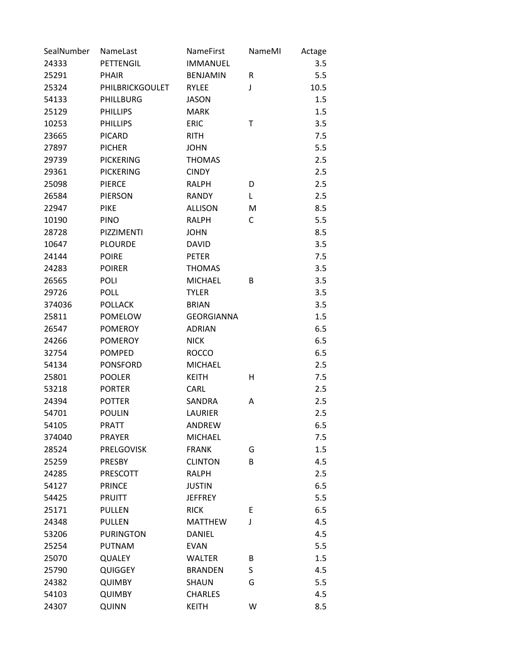| SealNumber | NameLast          | <b>NameFirst</b>  | NameMI | Actage |
|------------|-------------------|-------------------|--------|--------|
| 24333      | PETTENGIL         | <b>IMMANUEL</b>   |        | 3.5    |
| 25291      | <b>PHAIR</b>      | <b>BENJAMIN</b>   | R      | 5.5    |
| 25324      | PHILBRICKGOULET   | <b>RYLEE</b>      | J      | 10.5   |
| 54133      | PHILLBURG         | <b>JASON</b>      |        | 1.5    |
| 25129      | <b>PHILLIPS</b>   | <b>MARK</b>       |        | 1.5    |
| 10253      | <b>PHILLIPS</b>   | <b>ERIC</b>       | Τ      | 3.5    |
| 23665      | <b>PICARD</b>     | <b>RITH</b>       |        | 7.5    |
| 27897      | <b>PICHER</b>     | <b>JOHN</b>       |        | 5.5    |
| 29739      | <b>PICKERING</b>  | <b>THOMAS</b>     |        | 2.5    |
| 29361      | <b>PICKERING</b>  | <b>CINDY</b>      |        | 2.5    |
| 25098      | <b>PIERCE</b>     | <b>RALPH</b>      | D      | 2.5    |
| 26584      | PIERSON           | <b>RANDY</b>      | L      | 2.5    |
| 22947      | <b>PIKE</b>       | <b>ALLISON</b>    | M      | 8.5    |
| 10190      | <b>PINO</b>       | <b>RALPH</b>      | C      | 5.5    |
| 28728      | PIZZIMENTI        | <b>JOHN</b>       |        | 8.5    |
| 10647      | <b>PLOURDE</b>    | <b>DAVID</b>      |        | 3.5    |
| 24144      | <b>POIRE</b>      | <b>PETER</b>      |        | 7.5    |
| 24283      | <b>POIRER</b>     | <b>THOMAS</b>     |        | 3.5    |
| 26565      | <b>POLI</b>       | <b>MICHAEL</b>    | B      | 3.5    |
| 29726      | <b>POLL</b>       | <b>TYLER</b>      |        | 3.5    |
| 374036     | <b>POLLACK</b>    | <b>BRIAN</b>      |        | 3.5    |
| 25811      | <b>POMELOW</b>    | <b>GEORGIANNA</b> |        | 1.5    |
| 26547      | <b>POMEROY</b>    | <b>ADRIAN</b>     |        | 6.5    |
| 24266      | <b>POMEROY</b>    | <b>NICK</b>       |        | 6.5    |
| 32754      | <b>POMPED</b>     | <b>ROCCO</b>      |        | 6.5    |
| 54134      | <b>PONSFORD</b>   | <b>MICHAEL</b>    |        | 2.5    |
| 25801      | <b>POOLER</b>     | <b>KEITH</b>      | н      | 7.5    |
| 53218      | <b>PORTER</b>     | CARL              |        | 2.5    |
| 24394      | <b>POTTER</b>     | SANDRA            | A      | 2.5    |
| 54701      | <b>POULIN</b>     | LAURIER           |        | 2.5    |
| 54105      | <b>PRATT</b>      | ANDREW            |        | 6.5    |
| 374040     | <b>PRAYER</b>     | <b>MICHAEL</b>    |        | 7.5    |
| 28524      | <b>PRELGOVISK</b> | <b>FRANK</b>      | G      | 1.5    |
| 25259      | <b>PRESBY</b>     | <b>CLINTON</b>    | B      | 4.5    |
| 24285      | PRESCOTT          | <b>RALPH</b>      |        | 2.5    |
| 54127      | <b>PRINCE</b>     | <b>JUSTIN</b>     |        | 6.5    |
| 54425      | <b>PRUITT</b>     | <b>JEFFREY</b>    |        | 5.5    |
| 25171      | <b>PULLEN</b>     | <b>RICK</b>       | E      | 6.5    |
| 24348      | <b>PULLEN</b>     | <b>MATTHEW</b>    | J      | 4.5    |
| 53206      | <b>PURINGTON</b>  | <b>DANIEL</b>     |        | 4.5    |
| 25254      | <b>PUTNAM</b>     | <b>EVAN</b>       |        | 5.5    |
| 25070      | <b>QUALEY</b>     | <b>WALTER</b>     | B      | 1.5    |
| 25790      | <b>QUIGGEY</b>    | <b>BRANDEN</b>    | S      | 4.5    |
| 24382      | <b>QUIMBY</b>     | <b>SHAUN</b>      | G      | 5.5    |
| 54103      | <b>QUIMBY</b>     | <b>CHARLES</b>    |        | 4.5    |
| 24307      | QUINN             | <b>KEITH</b>      | W      | 8.5    |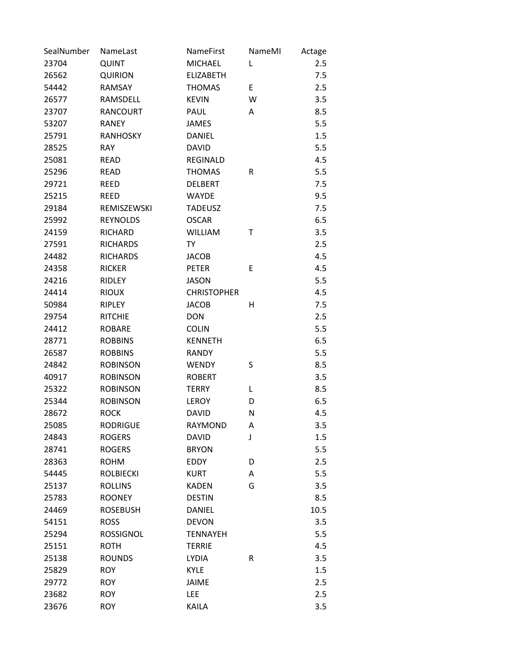| SealNumber | NameLast         | NameFirst          | NameMI | Actage |
|------------|------------------|--------------------|--------|--------|
| 23704      | QUINT            | <b>MICHAEL</b>     | Г      | 2.5    |
| 26562      | <b>QUIRION</b>   | <b>ELIZABETH</b>   |        | 7.5    |
| 54442      | RAMSAY           | <b>THOMAS</b>      | E      | 2.5    |
| 26577      | RAMSDELL         | <b>KEVIN</b>       | W      | 3.5    |
| 23707      | <b>RANCOURT</b>  | PAUL               | Α      | 8.5    |
| 53207      | <b>RANEY</b>     | <b>JAMES</b>       |        | 5.5    |
| 25791      | <b>RANHOSKY</b>  | <b>DANIEL</b>      |        | 1.5    |
| 28525      | <b>RAY</b>       | <b>DAVID</b>       |        | 5.5    |
| 25081      | <b>READ</b>      | <b>REGINALD</b>    |        | 4.5    |
| 25296      | <b>READ</b>      | <b>THOMAS</b>      | R      | 5.5    |
| 29721      | <b>REED</b>      | <b>DELBERT</b>     |        | 7.5    |
| 25215      | <b>REED</b>      | <b>WAYDE</b>       |        | 9.5    |
| 29184      | REMISZEWSKI      | <b>TADEUSZ</b>     |        | 7.5    |
| 25992      | <b>REYNOLDS</b>  | <b>OSCAR</b>       |        | 6.5    |
| 24159      | <b>RICHARD</b>   | <b>WILLIAM</b>     | т      | 3.5    |
| 27591      | <b>RICHARDS</b>  | <b>TY</b>          |        | 2.5    |
| 24482      | <b>RICHARDS</b>  | <b>JACOB</b>       |        | 4.5    |
| 24358      | <b>RICKER</b>    | <b>PETER</b>       | E      | 4.5    |
| 24216      | <b>RIDLEY</b>    | <b>JASON</b>       |        | 5.5    |
| 24414      | <b>RIOUX</b>     | <b>CHRISTOPHER</b> |        | 4.5    |
| 50984      | <b>RIPLEY</b>    | <b>JACOB</b>       | Η      | 7.5    |
| 29754      | <b>RITCHIE</b>   | <b>DON</b>         |        | 2.5    |
| 24412      | <b>ROBARE</b>    | <b>COLIN</b>       |        | 5.5    |
| 28771      | <b>ROBBINS</b>   | <b>KENNETH</b>     |        | 6.5    |
| 26587      | <b>ROBBINS</b>   | <b>RANDY</b>       |        | 5.5    |
| 24842      | <b>ROBINSON</b>  | <b>WENDY</b>       | S      | 8.5    |
| 40917      | <b>ROBINSON</b>  | <b>ROBERT</b>      |        | 3.5    |
| 25322      | <b>ROBINSON</b>  | <b>TERRY</b>       | L      | 8.5    |
| 25344      | <b>ROBINSON</b>  | LEROY              | D      | 6.5    |
| 28672      | <b>ROCK</b>      | <b>DAVID</b>       | N      | 4.5    |
| 25085      | <b>RODRIGUE</b>  | <b>RAYMOND</b>     | Α      | 3.5    |
| 24843      | <b>ROGERS</b>    | <b>DAVID</b>       | J      | 1.5    |
| 28741      | <b>ROGERS</b>    | <b>BRYON</b>       |        | 5.5    |
| 28363      | <b>ROHM</b>      | <b>EDDY</b>        | D      | 2.5    |
| 54445      | <b>ROLBIECKI</b> | <b>KURT</b>        | Α      | 5.5    |
| 25137      | <b>ROLLINS</b>   | <b>KADEN</b>       | G      | 3.5    |
| 25783      | <b>ROONEY</b>    | <b>DESTIN</b>      |        | 8.5    |
| 24469      | <b>ROSEBUSH</b>  | <b>DANIEL</b>      |        | 10.5   |
| 54151      | <b>ROSS</b>      | <b>DEVON</b>       |        | 3.5    |
| 25294      | <b>ROSSIGNOL</b> | <b>TENNAYEH</b>    |        | 5.5    |
| 25151      | <b>ROTH</b>      | <b>TERRIE</b>      |        | 4.5    |
| 25138      | <b>ROUNDS</b>    | <b>LYDIA</b>       | R      | 3.5    |
| 25829      | <b>ROY</b>       | <b>KYLE</b>        |        | 1.5    |
| 29772      | <b>ROY</b>       | <b>JAIME</b>       |        | 2.5    |
| 23682      | <b>ROY</b>       | LEE                |        | 2.5    |
| 23676      | <b>ROY</b>       | <b>KAILA</b>       |        | 3.5    |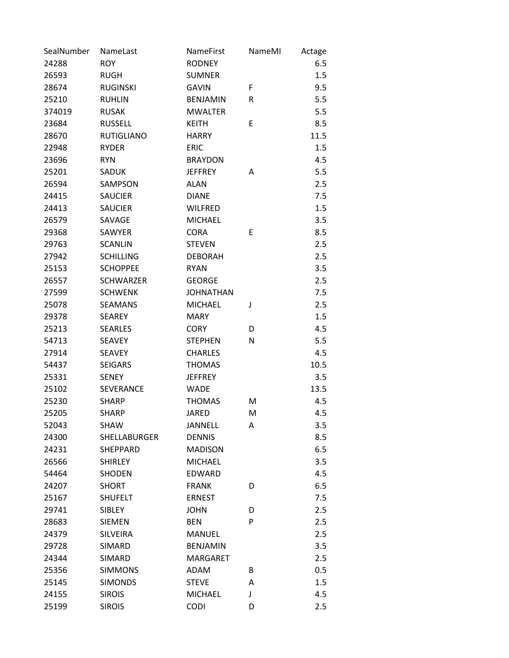| SealNumber | NameLast          | NameFirst        | NameMI | Actage |
|------------|-------------------|------------------|--------|--------|
| 24288      | <b>ROY</b>        | <b>RODNEY</b>    |        | 6.5    |
| 26593      | <b>RUGH</b>       | <b>SUMNER</b>    |        | 1.5    |
| 28674      | <b>RUGINSKI</b>   | <b>GAVIN</b>     | F      | 9.5    |
| 25210      | <b>RUHLIN</b>     | <b>BENJAMIN</b>  | R      | 5.5    |
| 374019     | <b>RUSAK</b>      | <b>MWALTER</b>   |        | 5.5    |
| 23684      | <b>RUSSELL</b>    | <b>KEITH</b>     | E      | 8.5    |
| 28670      | <b>RUTIGLIANO</b> | <b>HARRY</b>     |        | 11.5   |
| 22948      | <b>RYDER</b>      | <b>ERIC</b>      |        | 1.5    |
| 23696      | <b>RYN</b>        | <b>BRAYDON</b>   |        | 4.5    |
| 25201      | SADUK             | <b>JEFFREY</b>   | Α      | 5.5    |
| 26594      | SAMPSON           | <b>ALAN</b>      |        | 2.5    |
| 24415      | <b>SAUCIER</b>    | <b>DIANE</b>     |        | 7.5    |
| 24413      | <b>SAUCIER</b>    | <b>WILFRED</b>   |        | 1.5    |
| 26579      | SAVAGE            | <b>MICHAEL</b>   |        | 3.5    |
| 29368      | SAWYER            | <b>CORA</b>      | E      | 8.5    |
| 29763      | <b>SCANLIN</b>    | <b>STEVEN</b>    |        | 2.5    |
| 27942      | <b>SCHILLING</b>  | <b>DEBORAH</b>   |        | 2.5    |
| 25153      | <b>SCHOPPEE</b>   | <b>RYAN</b>      |        | 3.5    |
| 26557      | <b>SCHWARZER</b>  | <b>GEORGE</b>    |        | 2.5    |
| 27599      | <b>SCHWENK</b>    | <b>JOHNATHAN</b> |        | 7.5    |
| 25078      | <b>SEAMANS</b>    | <b>MICHAEL</b>   | J      | 2.5    |
| 29378      | <b>SEAREY</b>     | <b>MARY</b>      |        | 1.5    |
| 25213      | <b>SEARLES</b>    | <b>CORY</b>      | D      | 4.5    |
| 54713      | <b>SEAVEY</b>     | <b>STEPHEN</b>   | N      | 5.5    |
| 27914      | <b>SEAVEY</b>     | <b>CHARLES</b>   |        | 4.5    |
| 54437      | <b>SEIGARS</b>    | <b>THOMAS</b>    |        | 10.5   |
| 25331      | <b>SENEY</b>      | <b>JEFFREY</b>   |        | 3.5    |
| 25102      | <b>SEVERANCE</b>  | <b>WADE</b>      |        | 13.5   |
| 25230      | <b>SHARP</b>      | <b>THOMAS</b>    | м      | 4.5    |
| 25205      | <b>SHARP</b>      | <b>JARED</b>     | M      | 4.5    |
| 52043      | SHAW              | JANNELL          | Α      | 3.5    |
| 24300      | SHELLABURGER      | <b>DENNIS</b>    |        | 8.5    |
| 24231      | <b>SHEPPARD</b>   | <b>MADISON</b>   |        | 6.5    |
| 26566      | <b>SHIRLEY</b>    | <b>MICHAEL</b>   |        | 3.5    |
| 54464      | <b>SHODEN</b>     | <b>EDWARD</b>    |        | 4.5    |
| 24207      | <b>SHORT</b>      | <b>FRANK</b>     | D      | 6.5    |
| 25167      | <b>SHUFELT</b>    | <b>ERNEST</b>    |        | 7.5    |
| 29741      | <b>SIBLEY</b>     | <b>JOHN</b>      | D      | 2.5    |
| 28683      | <b>SIEMEN</b>     | <b>BEN</b>       | P      | 2.5    |
| 24379      | <b>SILVEIRA</b>   | <b>MANUEL</b>    |        | 2.5    |
| 29728      | SIMARD            | <b>BENJAMIN</b>  |        | 3.5    |
| 24344      | SIMARD            | <b>MARGARET</b>  |        | 2.5    |
| 25356      | <b>SIMMONS</b>    | ADAM             | B      | 0.5    |
| 25145      | <b>SIMONDS</b>    | <b>STEVE</b>     | A      | 1.5    |
| 24155      | <b>SIROIS</b>     | <b>MICHAEL</b>   | J      | 4.5    |
| 25199      | <b>SIROIS</b>     | CODI             | D      | 2.5    |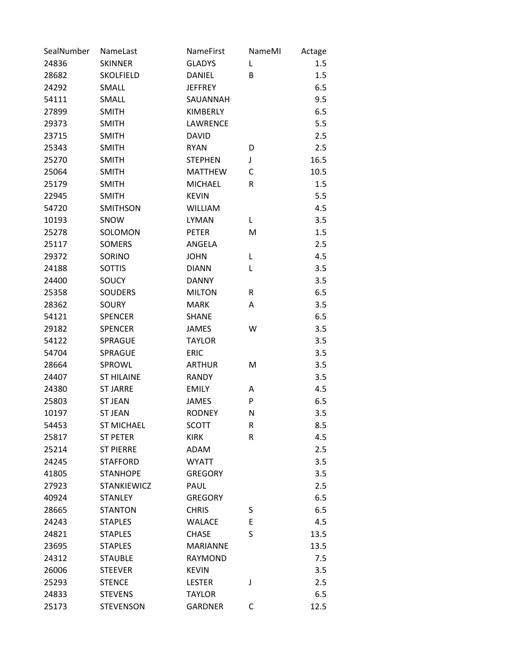| SealNumber | NameLast           | NameFirst       | NameMI | Actage |
|------------|--------------------|-----------------|--------|--------|
| 24836      | <b>SKINNER</b>     | <b>GLADYS</b>   | L      | 1.5    |
| 28682      | <b>SKOLFIELD</b>   | <b>DANIEL</b>   | В      | 1.5    |
| 24292      | SMALL              | <b>JEFFREY</b>  |        | 6.5    |
| 54111      | SMALL              | SAUANNAH        |        | 9.5    |
| 27899      | <b>SMITH</b>       | <b>KIMBERLY</b> |        | 6.5    |
| 29373      | <b>SMITH</b>       | LAWRENCE        |        | 5.5    |
| 23715      | <b>SMITH</b>       | <b>DAVID</b>    |        | 2.5    |
| 25343      | <b>SMITH</b>       | <b>RYAN</b>     | D      | 2.5    |
| 25270      | <b>SMITH</b>       | <b>STEPHEN</b>  | J      | 16.5   |
| 25064      | <b>SMITH</b>       | <b>MATTHEW</b>  | C      | 10.5   |
| 25179      | <b>SMITH</b>       | <b>MICHAEL</b>  | R      | 1.5    |
| 22945      | <b>SMITH</b>       | <b>KEVIN</b>    |        | 5.5    |
| 54720      | SMITHSON           | <b>WILLIAM</b>  |        | 4.5    |
| 10193      | SNOW               | <b>LYMAN</b>    | L      | 3.5    |
| 25278      | SOLOMON            | <b>PETER</b>    | M      | 1.5    |
| 25117      | <b>SOMERS</b>      | ANGELA          |        | 2.5    |
| 29372      | <b>SORINO</b>      | <b>JOHN</b>     | L      | 4.5    |
| 24188      | <b>SOTTIS</b>      | <b>DIANN</b>    | L      | 3.5    |
| 24400      | SOUCY              | <b>DANNY</b>    |        | 3.5    |
| 25358      | <b>SOUDERS</b>     | <b>MILTON</b>   | R      | 6.5    |
| 28362      | SOURY              | <b>MARK</b>     | А      | 3.5    |
| 54121      | <b>SPENCER</b>     | <b>SHANE</b>    |        | 6.5    |
| 29182      | <b>SPENCER</b>     | <b>JAMES</b>    | W      | 3.5    |
| 54122      | SPRAGUE            | <b>TAYLOR</b>   |        | 3.5    |
| 54704      | SPRAGUE            | <b>ERIC</b>     |        | 3.5    |
| 28664      | SPROWL             | <b>ARTHUR</b>   | M      | 3.5    |
| 24407      | <b>ST HILAINE</b>  | <b>RANDY</b>    |        | 3.5    |
| 24380      | <b>ST JARRE</b>    | <b>EMILY</b>    | Α      | 4.5    |
| 25803      | <b>ST JEAN</b>     | <b>JAMES</b>    | P      | 6.5    |
| 10197      | <b>ST JEAN</b>     | <b>RODNEY</b>   | N      | 3.5    |
| 54453      | <b>ST MICHAEL</b>  | <b>SCOTT</b>    | R      | 8.5    |
| 25817      | <b>ST PETER</b>    | <b>KIRK</b>     | R      | 4.5    |
| 25214      | <b>ST PIERRE</b>   | ADAM            |        | 2.5    |
| 24245      | <b>STAFFORD</b>    | <b>WYATT</b>    |        | 3.5    |
| 41805      | <b>STANHOPE</b>    | <b>GREGORY</b>  |        | 3.5    |
| 27923      | <b>STANKIEWICZ</b> | PAUL            |        | 2.5    |
| 40924      | <b>STANLEY</b>     | <b>GREGORY</b>  |        | 6.5    |
| 28665      | <b>STANTON</b>     | <b>CHRIS</b>    | S      | 6.5    |
| 24243      | <b>STAPLES</b>     | <b>WALACE</b>   | E      | 4.5    |
| 24821      | <b>STAPLES</b>     | <b>CHASE</b>    | S      | 13.5   |
| 23695      | <b>STAPLES</b>     | <b>MARIANNE</b> |        | 13.5   |
| 24312      | <b>STAUBLE</b>     | <b>RAYMOND</b>  |        | 7.5    |
| 26006      | <b>STEEVER</b>     | <b>KEVIN</b>    |        | 3.5    |
| 25293      | <b>STENCE</b>      | <b>LESTER</b>   | J      | 2.5    |
| 24833      | <b>STEVENS</b>     | <b>TAYLOR</b>   |        | 6.5    |
| 25173      | <b>STEVENSON</b>   | <b>GARDNER</b>  | С      | 12.5   |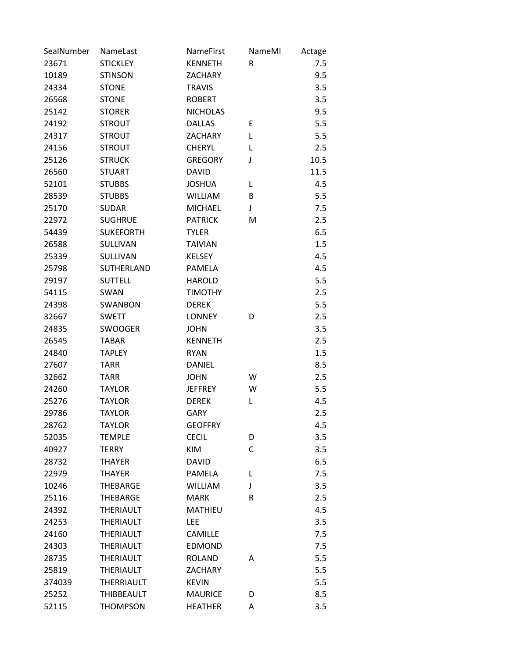| SealNumber | NameLast          | <b>NameFirst</b> | NameMI  | Actage |
|------------|-------------------|------------------|---------|--------|
| 23671      | <b>STICKLEY</b>   | <b>KENNETH</b>   | R       | 7.5    |
| 10189      | <b>STINSON</b>    | <b>ZACHARY</b>   |         | 9.5    |
| 24334      | <b>STONE</b>      | <b>TRAVIS</b>    |         | 3.5    |
| 26568      | <b>STONE</b>      | <b>ROBERT</b>    |         | 3.5    |
| 25142      | <b>STORER</b>     | <b>NICHOLAS</b>  |         | 9.5    |
| 24192      | <b>STROUT</b>     | <b>DALLAS</b>    | Ε       | 5.5    |
| 24317      | <b>STROUT</b>     | <b>ZACHARY</b>   | L       | 5.5    |
| 24156      | <b>STROUT</b>     | <b>CHERYL</b>    | L       | 2.5    |
| 25126      | <b>STRUCK</b>     | <b>GREGORY</b>   | J       | 10.5   |
| 26560      | <b>STUART</b>     | <b>DAVID</b>     |         | 11.5   |
| 52101      | <b>STUBBS</b>     | <b>JOSHUA</b>    | L       | 4.5    |
| 28539      | <b>STUBBS</b>     | <b>WILLIAM</b>   | B       | 5.5    |
| 25170      | <b>SUDAR</b>      | <b>MICHAEL</b>   | J       | 7.5    |
| 22972      | <b>SUGHRUE</b>    | <b>PATRICK</b>   | M       | 2.5    |
| 54439      | <b>SUKEFORTH</b>  | <b>TYLER</b>     |         | 6.5    |
| 26588      | <b>SULLIVAN</b>   | <b>TAIVIAN</b>   |         | 1.5    |
| 25339      | <b>SULLIVAN</b>   | <b>KELSEY</b>    |         | 4.5    |
| 25798      | SUTHERLAND        | <b>PAMELA</b>    |         | 4.5    |
| 29197      | <b>SUTTELL</b>    | <b>HAROLD</b>    |         | 5.5    |
| 54115      | SWAN              | <b>TIMOTHY</b>   |         | 2.5    |
| 24398      | <b>SWANBON</b>    | <b>DEREK</b>     |         | 5.5    |
| 32667      | <b>SWETT</b>      | <b>LONNEY</b>    | D       | 2.5    |
| 24835      | <b>SWOOGER</b>    | <b>JOHN</b>      |         | 3.5    |
| 26545      | <b>TABAR</b>      | <b>KENNETH</b>   |         | 2.5    |
| 24840      | <b>TAPLEY</b>     | <b>RYAN</b>      |         | 1.5    |
| 27607      | <b>TARR</b>       | <b>DANIEL</b>    |         | 8.5    |
| 32662      | <b>TARR</b>       | <b>JOHN</b>      | W       | 2.5    |
| 24260      | <b>TAYLOR</b>     | <b>JEFFREY</b>   | W       | 5.5    |
| 25276      | <b>TAYLOR</b>     | <b>DEREK</b>     | L       | 4.5    |
| 29786      | <b>TAYLOR</b>     | <b>GARY</b>      |         | 2.5    |
| 28762      | <b>TAYLOR</b>     | <b>GEOFFRY</b>   |         | 4.5    |
| 52035      | <b>TEMPLE</b>     | <b>CECIL</b>     | D       | 3.5    |
| 40927      | <b>TERRY</b>      | KIM              | C       | 3.5    |
| 28732      | <b>THAYER</b>     | <b>DAVID</b>     |         | 6.5    |
| 22979      | <b>THAYER</b>     | <b>PAMELA</b>    | L       | 7.5    |
| 10246      | <b>THEBARGE</b>   | <b>WILLIAM</b>   | J       | 3.5    |
| 25116      | <b>THEBARGE</b>   | <b>MARK</b>      | $\sf R$ | 2.5    |
| 24392      | THERIAULT         | <b>MATHIEU</b>   |         | 4.5    |
| 24253      | <b>THERIAULT</b>  | LEE              |         | 3.5    |
| 24160      | <b>THERIAULT</b>  | <b>CAMILLE</b>   |         | 7.5    |
| 24303      | <b>THERIAULT</b>  | <b>EDMOND</b>    |         | 7.5    |
| 28735      | <b>THERIAULT</b>  | <b>ROLAND</b>    | Α       | 5.5    |
| 25819      | <b>THERIAULT</b>  | <b>ZACHARY</b>   |         | 5.5    |
| 374039     | <b>THERRIAULT</b> | <b>KEVIN</b>     |         | 5.5    |
| 25252      | <b>THIBBEAULT</b> | <b>MAURICE</b>   | D       | 8.5    |
| 52115      | <b>THOMPSON</b>   | <b>HEATHER</b>   | Α       | 3.5    |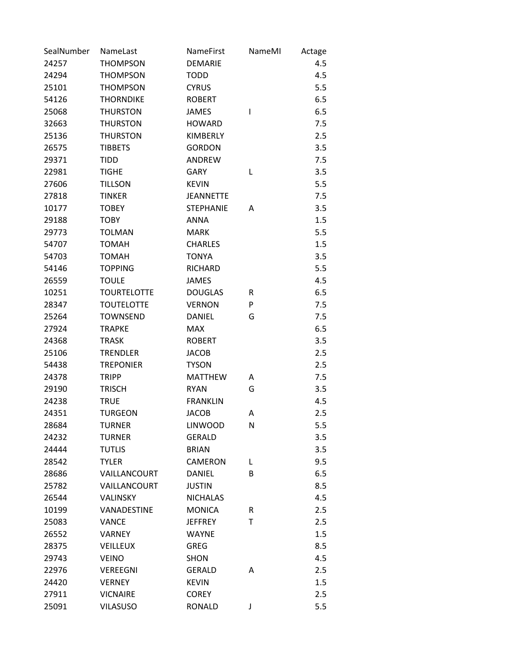| SealNumber | NameLast           | NameFirst        | NameMI | Actage |
|------------|--------------------|------------------|--------|--------|
| 24257      | <b>THOMPSON</b>    | <b>DEMARIE</b>   |        | 4.5    |
| 24294      | <b>THOMPSON</b>    | <b>TODD</b>      |        | 4.5    |
| 25101      | <b>THOMPSON</b>    | <b>CYRUS</b>     |        | 5.5    |
| 54126      | <b>THORNDIKE</b>   | <b>ROBERT</b>    |        | 6.5    |
| 25068      | <b>THURSTON</b>    | <b>JAMES</b>     | ı      | 6.5    |
| 32663      | <b>THURSTON</b>    | <b>HOWARD</b>    |        | 7.5    |
| 25136      | <b>THURSTON</b>    | KIMBERLY         |        | 2.5    |
| 26575      | <b>TIBBETS</b>     | <b>GORDON</b>    |        | 3.5    |
| 29371      | <b>TIDD</b>        | ANDREW           |        | 7.5    |
| 22981      | <b>TIGHE</b>       | <b>GARY</b>      | L      | 3.5    |
| 27606      | <b>TILLSON</b>     | <b>KEVIN</b>     |        | 5.5    |
| 27818      | <b>TINKER</b>      | <b>JEANNETTE</b> |        | 7.5    |
| 10177      | <b>TOBEY</b>       | <b>STEPHANIE</b> | Α      | 3.5    |
| 29188      | <b>TOBY</b>        | <b>ANNA</b>      |        | 1.5    |
| 29773      | <b>TOLMAN</b>      | <b>MARK</b>      |        | 5.5    |
| 54707      | <b>TOMAH</b>       | <b>CHARLES</b>   |        | 1.5    |
| 54703      | <b>TOMAH</b>       | <b>TONYA</b>     |        | 3.5    |
| 54146      | <b>TOPPING</b>     | <b>RICHARD</b>   |        | 5.5    |
| 26559      | <b>TOULE</b>       | <b>JAMES</b>     |        | 4.5    |
| 10251      | <b>TOURTELOTTE</b> | <b>DOUGLAS</b>   | R      | 6.5    |
| 28347      | <b>TOUTELOTTE</b>  | <b>VERNON</b>    | P      | 7.5    |
| 25264      | <b>TOWNSEND</b>    | <b>DANIEL</b>    | G      | 7.5    |
| 27924      | <b>TRAPKE</b>      | <b>MAX</b>       |        | 6.5    |
| 24368      | <b>TRASK</b>       | <b>ROBERT</b>    |        | 3.5    |
| 25106      | <b>TRENDLER</b>    | <b>JACOB</b>     |        | 2.5    |
| 54438      | <b>TREPONIER</b>   | <b>TYSON</b>     |        | 2.5    |
| 24378      | <b>TRIPP</b>       | <b>MATTHEW</b>   | Α      | 7.5    |
| 29190      | <b>TRISCH</b>      | <b>RYAN</b>      | G      | 3.5    |
| 24238      | <b>TRUE</b>        | <b>FRANKLIN</b>  |        | 4.5    |
| 24351      | <b>TURGEON</b>     | <b>JACOB</b>     | Α      | 2.5    |
| 28684      | <b>TURNER</b>      | <b>LINWOOD</b>   | N      | 5.5    |
| 24232      | <b>TURNER</b>      | <b>GERALD</b>    |        | 3.5    |
| 24444      | <b>TUTLIS</b>      | <b>BRIAN</b>     |        | 3.5    |
| 28542      | <b>TYLER</b>       | CAMERON          | L      | 9.5    |
| 28686      | VAILLANCOURT       | <b>DANIEL</b>    | B      | 6.5    |
| 25782      | VAILLANCOURT       | <b>JUSTIN</b>    |        | 8.5    |
| 26544      | VALINSKY           | <b>NICHALAS</b>  |        | 4.5    |
| 10199      | VANADESTINE        | <b>MONICA</b>    | R      | 2.5    |
| 25083      | <b>VANCE</b>       | <b>JEFFREY</b>   | T      | 2.5    |
| 26552      | <b>VARNEY</b>      | <b>WAYNE</b>     |        | 1.5    |
| 28375      | <b>VEILLEUX</b>    | <b>GREG</b>      |        | 8.5    |
| 29743      | <b>VEINO</b>       | SHON             |        | 4.5    |
| 22976      | <b>VEREEGNI</b>    | <b>GERALD</b>    | Α      | 2.5    |
| 24420      | <b>VERNEY</b>      | <b>KEVIN</b>     |        | 1.5    |
| 27911      | <b>VICNAIRE</b>    | <b>COREY</b>     |        | 2.5    |
| 25091      | <b>VILASUSO</b>    | RONALD           | J      | 5.5    |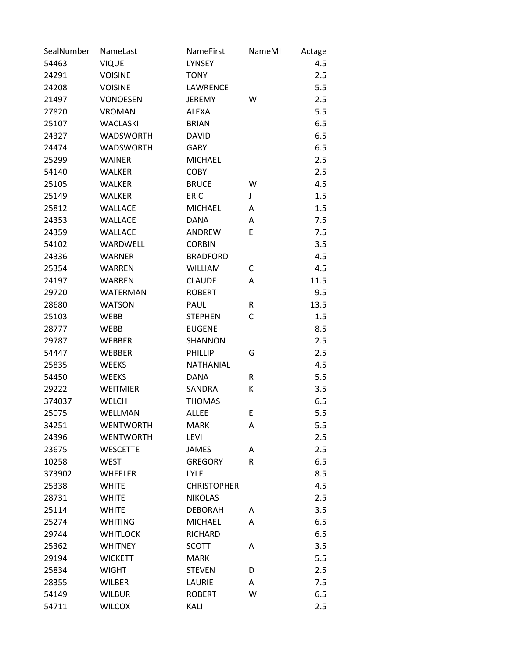| SealNumber | NameLast         | NameFirst          | NameMI | Actage |
|------------|------------------|--------------------|--------|--------|
| 54463      | <b>VIQUE</b>     | <b>LYNSEY</b>      |        | 4.5    |
| 24291      | <b>VOISINE</b>   | <b>TONY</b>        |        | 2.5    |
| 24208      | <b>VOISINE</b>   | LAWRENCE           |        | 5.5    |
| 21497      | <b>VONOESEN</b>  | <b>JEREMY</b>      | W      | 2.5    |
| 27820      | <b>VROMAN</b>    | <b>ALEXA</b>       |        | 5.5    |
| 25107      | <b>WACLASKI</b>  | <b>BRIAN</b>       |        | 6.5    |
| 24327      | <b>WADSWORTH</b> | <b>DAVID</b>       |        | 6.5    |
| 24474      | <b>WADSWORTH</b> | <b>GARY</b>        |        | 6.5    |
| 25299      | <b>WAINER</b>    | <b>MICHAEL</b>     |        | 2.5    |
| 54140      | <b>WALKER</b>    | <b>COBY</b>        |        | 2.5    |
| 25105      | <b>WALKER</b>    | <b>BRUCE</b>       | W      | 4.5    |
| 25149      | <b>WALKER</b>    | <b>ERIC</b>        | J      | 1.5    |
| 25812      | <b>WALLACE</b>   | <b>MICHAEL</b>     | Α      | 1.5    |
| 24353      | <b>WALLACE</b>   | <b>DANA</b>        | Α      | 7.5    |
| 24359      | <b>WALLACE</b>   | <b>ANDREW</b>      | E      | 7.5    |
| 54102      | WARDWELL         | <b>CORBIN</b>      |        | 3.5    |
| 24336      | <b>WARNER</b>    | <b>BRADFORD</b>    |        | 4.5    |
| 25354      | <b>WARREN</b>    | <b>WILLIAM</b>     | С      | 4.5    |
| 24197      | <b>WARREN</b>    | <b>CLAUDE</b>      | A      | 11.5   |
| 29720      | <b>WATERMAN</b>  | <b>ROBERT</b>      |        | 9.5    |
| 28680      | <b>WATSON</b>    | PAUL               | R      | 13.5   |
| 25103      | <b>WEBB</b>      | <b>STEPHEN</b>     | С      | 1.5    |
| 28777      | <b>WEBB</b>      | <b>EUGENE</b>      |        | 8.5    |
| 29787      | <b>WEBBER</b>    | SHANNON            |        | 2.5    |
| 54447      | <b>WEBBER</b>    | PHILLIP            | G      | 2.5    |
| 25835      | <b>WEEKS</b>     | NATHANIAL          |        | 4.5    |
| 54450      | <b>WEEKS</b>     | <b>DANA</b>        | R      | 5.5    |
| 29222      | <b>WEITMIER</b>  | SANDRA             | К      | 3.5    |
| 374037     | <b>WELCH</b>     | <b>THOMAS</b>      |        | 6.5    |
| 25075      | WELLMAN          | <b>ALLEE</b>       | E      | 5.5    |
| 34251      | <b>WENTWORTH</b> | MARK               | Α      | 5.5    |
| 24396      | <b>WENTWORTH</b> | <b>LEVI</b>        |        | 2.5    |
| 23675      | <b>WESCETTE</b>  | JAMES              | A      | 2.5    |
| 10258      | <b>WEST</b>      | <b>GREGORY</b>     | R      | 6.5    |
| 373902     | <b>WHEELER</b>   | <b>LYLE</b>        |        | 8.5    |
| 25338      | <b>WHITE</b>     | <b>CHRISTOPHER</b> |        | 4.5    |
| 28731      | <b>WHITE</b>     | <b>NIKOLAS</b>     |        | 2.5    |
| 25114      | <b>WHITE</b>     | <b>DEBORAH</b>     | A      | 3.5    |
| 25274      | <b>WHITING</b>   | <b>MICHAEL</b>     | A      | 6.5    |
| 29744      | <b>WHITLOCK</b>  | <b>RICHARD</b>     |        | 6.5    |
| 25362      | <b>WHITNEY</b>   | <b>SCOTT</b>       | A      | 3.5    |
| 29194      | <b>WICKETT</b>   | <b>MARK</b>        |        | 5.5    |
| 25834      | <b>WIGHT</b>     | <b>STEVEN</b>      | D      | 2.5    |
| 28355      | <b>WILBER</b>    | LAURIE             | Α      | 7.5    |
| 54149      | <b>WILBUR</b>    | <b>ROBERT</b>      | W      | 6.5    |
| 54711      | <b>WILCOX</b>    | KALI               |        | 2.5    |